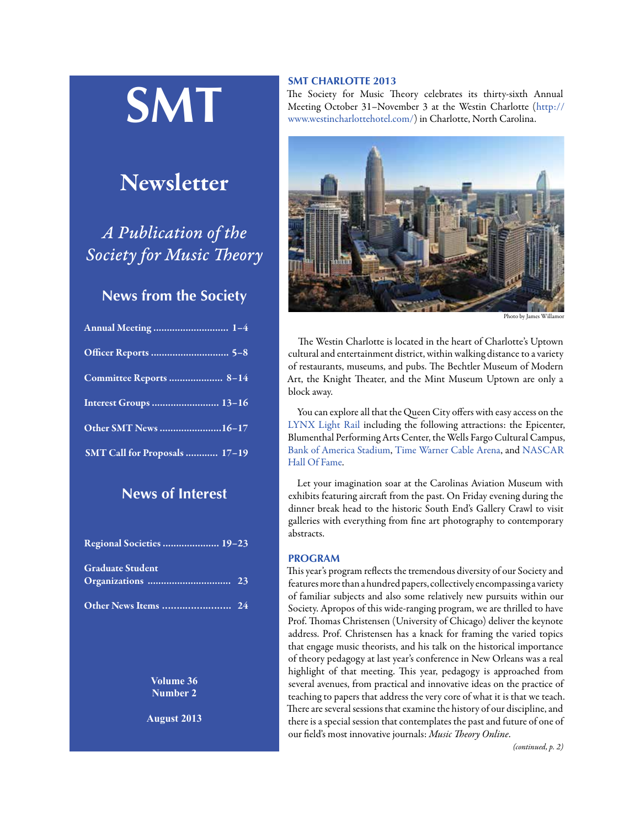# **SMT**

# Newsletter

*A Publication of the Society for Music Theory*

# **News from the Society**

| Annual Meeting  1-4           |  |
|-------------------------------|--|
|                               |  |
| Committee Reports  8-14       |  |
| Interest Groups  13-16        |  |
| Other SMT News 16-17          |  |
| SMT Call for Proposals  17-19 |  |

# **News of Interest**

| Regional Societies  19-23 |  |
|---------------------------|--|
| <b>Graduate Student</b>   |  |
|                           |  |

**Volume 36 Number 2**

**August 2013**

# **SMT CHARLOTTE 2013**

The Society for Music Theory celebrates its thirty-sixth Annual Meeting October 31–November 3 at the Westin Charlotte ([http://](http://www.westincharlottehotel.com/) [www.westincharlottehotel.com/](http://www.westincharlottehotel.com/)) in Charlotte, North Carolina.



Photo by James Will

The Westin Charlotte is located in the heart of Charlotte's Uptown cultural and entertainment district, within walking distance to a variety of restaurants, museums, and pubs. The Bechtler Museum of Modern Art, the Knight Theater, and the Mint Museum Uptown are only a block away.

You can explore all that the Queen City offers with easy access on the [LYNX Light Rail](http://www.westincharlottehotel.com/transportation) including the following attractions: the Epicenter, Blumenthal Performing Arts Center, the Wells Fargo Cultural Campus, [Bank of America Stadium,](http://www.westincharlottehotel.com/bank-of-america-stadium) [Time Warner Cable Arena](http://www.westincharlottehotel.com/time-warner-cable-arena), and [NASCAR](http://www.westincharlottehotel.com/NASCAR-Hall-of-Fame)  [Hall Of Fame](http://www.westincharlottehotel.com/NASCAR-Hall-of-Fame).

Let your imagination soar at the Carolinas Aviation Museum with exhibits featuring aircraft from the past. On Friday evening during the dinner break head to the historic South End's Gallery Crawl to visit galleries with everything from fine art photography to contemporary abstracts.

# **PROGRAM**

This year's program reflects the tremendous diversity of our Society and features more than a hundred papers, collectively encompassing a variety of familiar subjects and also some relatively new pursuits within our Society. Apropos of this wide-ranging program, we are thrilled to have Prof. Thomas Christensen (University of Chicago) deliver the keynote address. Prof. Christensen has a knack for framing the varied topics that engage music theorists, and his talk on the historical importance of theory pedagogy at last year's conference in New Orleans was a real highlight of that meeting. This year, pedagogy is approached from several avenues, from practical and innovative ideas on the practice of teaching to papers that address the very core of what it is that we teach. There are several sessions that examine the history of our discipline, and there is a special session that contemplates the past and future of one of our field's most innovative journals: *Music Theory Online*.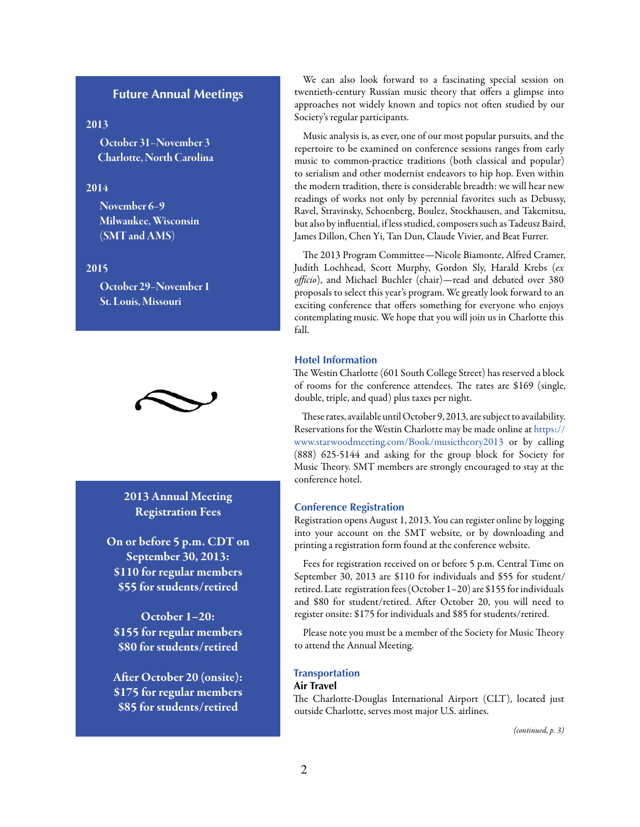# **Future Annual Meetings**

# 2013

October 31–November 3 Charlotte, North Carolina

# 2014

November 6–9 Milwaukee, Wisconsin (SMT and AMS)

# 2015

October 29–November 1 St. Louis, Missouri



2013 Annual Meeting Registration Fees

On or before 5 p.m. CDT on September 30, 2013: \$110 for regular members \$55 for students/retired

October 1–20: \$155 for regular members \$80 for students/retired

After October 20 (onsite): \$175 for regular members \$85 for students/retired

We can also look forward to a fascinating special session on twentieth-century Russian music theory that offers a glimpse into approaches not widely known and topics not often studied by our Society's regular participants.

Music analysis is, as ever, one of our most popular pursuits, and the repertoire to be examined on conference sessions ranges from early music to common-practice traditions (both classical and popular) to serialism and other modernist endeavors to hip hop. Even within the modern tradition, there is considerable breadth: we will hear new readings of works not only by perennial favorites such as Debussy, Ravel, Stravinsky, Schoenberg, Boulez, Stockhausen, and Takemitsu, but also by influential, if less studied, composers such as Tadeusz Baird, James Dillon, Chen Yi, Tan Dun, Claude Vivier, and Beat Furrer.

The 2013 Program Committee—Nicole Biamonte, Alfred Cramer, Judith Lochhead, Scott Murphy, Gordon Sly, Harald Krebs (*ex officio*), and Michael Buchler (chair)—read and debated over 380 proposals to select this year's program. We greatly look forward to an exciting conference that offers something for everyone who enjoys contemplating music. We hope that you will join us in Charlotte this fall.

# **Hotel Information**

The Westin Charlotte (601 South College Street) has reserved a block of rooms for the conference attendees. The rates are \$169 (single, double, triple, and quad) plus taxes per night.

These rates, available until October 9, 2013, are subject to availability. Reservations for the Westin Charlotte may be made online at [https://](https://www.starwoodmeeting.com/Book/musictheory2013) [www.starwoodmeeting.com/Book/musictheory2013](https://www.starwoodmeeting.com/Book/musictheory2013) or by calling (888) 625-5144 and asking for the group block for Society for Music Theory. SMT members are strongly encouraged to stay at the conference hotel.

#### **Conference Registration**

Registration opens August 1, 2013. You can register online by logging into your account on the SMT website, or by downloading and printing a registration form found at the conference website.

Fees for registration received on or before 5 p.m. Central Time on September 30, 2013 are \$110 for individuals and \$55 for student/ retired. Late registration fees (October 1–20) are \$155 for individuals and \$80 for student/retired. After October 20, you will need to register onsite: \$175 for individuals and \$85 for students/retired.

Please note you must be a member of the Society for Music Theory to attend the Annual Meeting.

# **Transportation**

# **Air Travel**

The Charlotte-Douglas International Airport (CLT), located just outside Charlotte, serves most major U.S. airlines.

*(continued, p. 3)*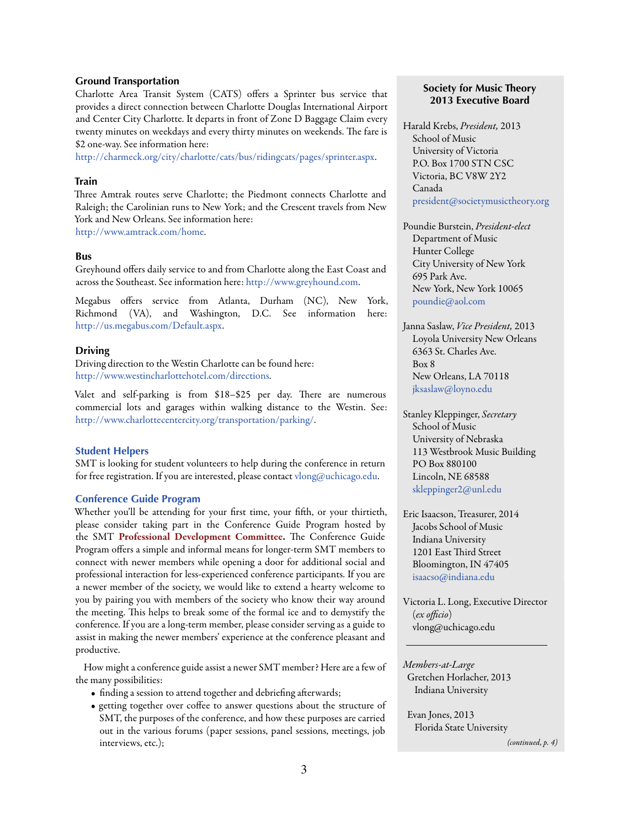#### **Ground Transportation**

Charlotte Area Transit System (CATS) offers a Sprinter bus service that provides a direct connection between Charlotte Douglas International Airport and Center City Charlotte. It departs in front of Zone D Baggage Claim every twenty minutes on weekdays and every thirty minutes on weekends. The fare is \$2 one-way. See information here:

[http://charmeck.org/city/charlotte/cats/bus/ridingcats/pages/sprinter.aspx.](http://charmeck.org/city/charlotte/cats/bus/ridingcats/pages/sprinter.aspx)

#### **Train**

Three Amtrak routes serve Charlotte; the Piedmont connects Charlotte and Raleigh; the Carolinian runs to New York; and the Crescent travels from New York and New Orleans. See information here: <http://www.amtrack.com/home>.

## **Bus**

Greyhound offers daily service to and from Charlotte along the East Coast and across the Southeast. See information here: [http://www.greyhound.com.](http://www.greyhound.com)

Megabus offers service from Atlanta, Durham (NC), New York, Richmond (VA), and Washington, D.C. See information here: [http://us.megabus.com/Default.aspx.](http://us.megabus.com/Default.aspx)

#### **Driving**

Driving direction to the Westin Charlotte can be found here: [http://www.westincharlottehotel.com/directions.](http://www.westincharlottehotel.com/directions)

Valet and self-parking is from \$18–\$25 per day. There are numerous commercial lots and garages within walking distance to the Westin. See: [http://www.charlottecentercity.org/transportation/parking](http://www.charlottecentercity.org/transportation/parking/)/.

#### **Student Helpers**

SMT is looking for student volunteers to help during the conference in return for free registration. If you are interested, please contact [vlong@uchicago.edu](mailto:vlong%40uchicago.edu?subject=).

# **Conference Guide Program**

Whether you'll be attending for your first time, your fifth, or your thirtieth, please consider taking part in the Conference Guide Program hosted by the SMT Professional Development Committee. The Conference Guide Program offers a simple and informal means for longer-term SMT members to connect with newer members while opening a door for additional social and professional interaction for less-experienced conference participants. If you are a newer member of the society, we would like to extend a hearty welcome to you by pairing you with members of the society who know their way around the meeting. This helps to break some of the formal ice and to demystify the conference. If you are a long-term member, please consider serving as a guide to assist in making the newer members' experience at the conference pleasant and productive.

How might a conference guide assist a newer SMT member? Here are a few of the many possibilities:

- finding a session to attend together and debriefing afterwards;
- getting together over coffee to answer questions about the structure of SMT, the purposes of the conference, and how these purposes are carried out in the various forums (paper sessions, panel sessions, meetings, job interviews, etc.);

# **Society for Music Theory 2013 Executive Board**

Harald Krebs, *President,* 2013 School of Music University of Victoria P.O. Box 1700 STN CSC Victoria, BC V8W 2Y2 Canada [president@societymusictheory.org](mailto:president%40societymusictheory.org?subject=)

Poundie Burstein, *President-elect* Department of Music Hunter College City University of New York 695 Park Ave. New York, New York 10065 [poundie@aol.com](mailto:poundie%40aol.com?subject=)

Janna Saslaw, *Vice President,* 2013 Loyola University New Orleans 6363 St. Charles Ave. Box 8 New Orleans, LA 70118 [jksaslaw@loyno.edu](mailto:jksaslaw%40loyno.edu?subject=)

Stanley Kleppinger, *Secretary* School of Music University of Nebraska 113 Westbrook Music Building PO Box 880100 Lincoln, NE 68588 [skleppinger2@unl.edu](mailto:skleppinger2%40unl.edu?subject=)

Eric Isaacson, Treasurer, 2014 Jacobs School of Music Indiana University 1201 East Third Street Bloomington, IN 47405 [isaacso@indiana.edu](mailto:isaacso%40indiana.edu?subject=)

Victoria L. Long, Executive Director (*ex officio*) [vlong@uchicago.edu](mailto:vlong%40uchicago.edu?subject=)

*Members-at-Large*  Gretchen Horlacher, 2013 Indiana University

 Evan Jones, 2013 Florida State University

*(continued, p. 4)*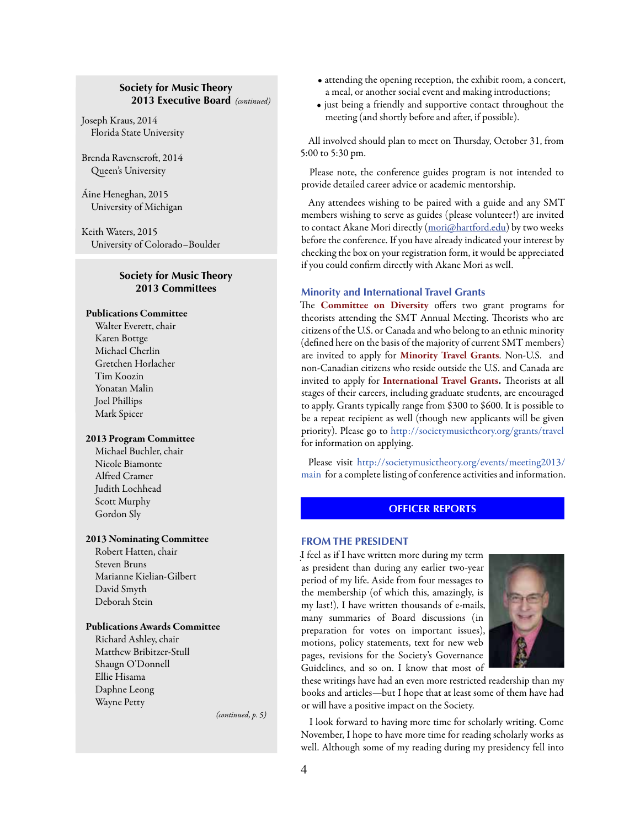# **Society for Music Theory 2013 Executive Board** *(continued)*

<span id="page-3-0"></span>Joseph Kraus, 2014 Florida State University

Brenda Ravenscroft, 2014 Queen's University

Áine Heneghan, 2015 University of Michigan

Keith Waters, 2015 University of Colorado–Boulder

# **Society for Music Theory 2013 Committees**

# Publications Committee

Walter Everett, chair Karen Bottge Michael Cherlin Gretchen Horlacher Tim Koozin Yonatan Malin Joel Phillips Mark Spicer

# 2013 Program Committee

Michael Buchler, chair Nicole Biamonte Alfred Cramer Judith Lochhead Scott Murphy Gordon Sly

#### 2013 Nominating Committee

Robert Hatten, chair Steven Bruns Marianne Kielian-Gilbert David Smyth Deborah Stein

# Publications Awards Committee

Richard Ashley, chair Matthew Bribitzer-Stull Shaugn O'Donnell Ellie Hisama Daphne Leong Wayne Petty

• attending the opening reception, the exhibit room, a concert, a meal, or another social event and making introductions;

• just being a friendly and supportive contact throughout the meeting (and shortly before and after, if possible).

All involved should plan to meet on Thursday, October 31, from 5:00 to 5:30 pm.

Please note, the conference guides program is not intended to provide detailed career advice or academic mentorship.

Any attendees wishing to be paired with a guide and any SMT members wishing to serve as guides (please volunteer!) are invited to contact Akane Mori directly ([mori@hartford.edu](mailto:mori@hartford.edu)) by two weeks before the conference. If you have already indicated your interest by checking the box on your registration form, it would be appreciated if you could confirm directly with Akane Mori as well.

# **Minority and International Travel Grants**

The **Committee on Diversity** offers two grant programs for theorists attending the SMT Annual Meeting. Theorists who are citizens of the U.S. or Canada and who belong to an ethnic minority (defined here on the basis of the majority of current SMT members) are invited to apply for Minority Travel Grants. Non-U.S. and non-Canadian citizens who reside outside the U.S. and Canada are invited to apply for International Travel Grants. Theorists at all stages of their careers, including graduate students, are encouraged to apply. Grants typically range from \$300 to \$600. It is possible to be a repeat recipient as well (though new applicants will be given priority). Please go to <http://societymusictheory.org/grants/travel> for information on applying.

Ple[as](http://societymusictheory.org/events/meeting2013/main%20)e visit [http://societymusictheory.org/events/meeting2013/](http://societymusictheory.org/events/meeting2013/main) [main](http://societymusictheory.org/events/meeting2013/main) for a complete listing of conference activities and information.

# **OFFICER REPORTS**

#### **FROM THE PRESIDENT**

I feel as if I have written more during my term . as president than during any earlier two-year period of my life. Aside from four messages to the membership (of which this, amazingly, is my last!), I have written thousands of e-mails, many summaries of Board discussions (in preparation for votes on important issues), motions, policy statements, text for new web pages, revisions for the Society's Governance Guidelines, and so on. I know that most of



these writings have had an even more restricted readership than my books and articles—but I hope that at least some of them have had or will have a positive impact on the Society.

I look forward to having more time for scholarly writing. Come November, I hope to have more time for reading scholarly works as well. Although some of my reading during my presidency fell into

*(continued, p. 5)*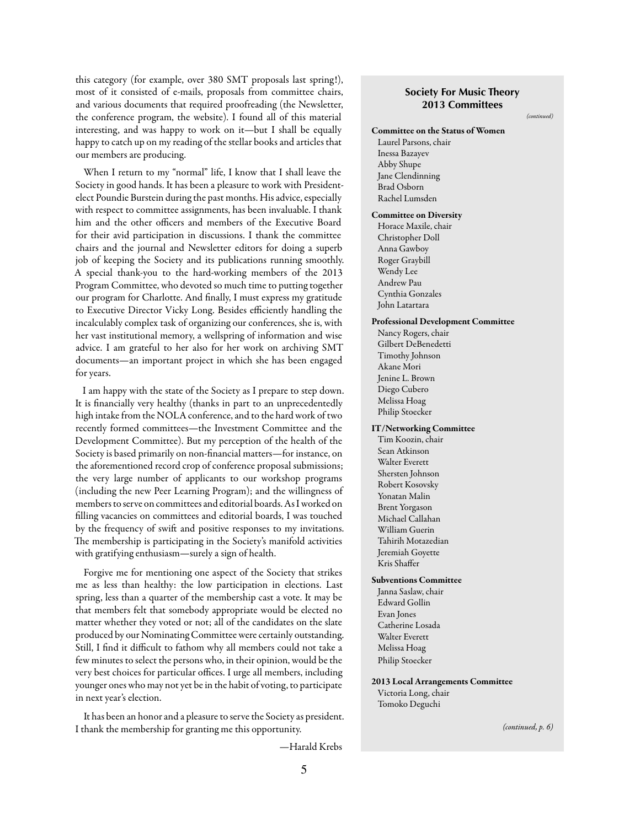this category (for example, over 380 SMT proposals last spring!), most of it consisted of e-mails, proposals from committee chairs, and various documents that required proofreading (the Newsletter, the conference program, the website). I found all of this material interesting, and was happy to work on it—but I shall be equally happy to catch up on my reading of the stellar books and articles that our members are producing.

When I return to my "normal" life, I know that I shall leave the Society in good hands. It has been a pleasure to work with Presidentelect Poundie Burstein during the past months. His advice, especially with respect to committee assignments, has been invaluable. I thank him and the other officers and members of the Executive Board for their avid participation in discussions. I thank the committee chairs and the journal and Newsletter editors for doing a superb job of keeping the Society and its publications running smoothly. A special thank-you to the hard-working members of the 2013 Program Committee, who devoted so much time to putting together our program for Charlotte. And finally, I must express my gratitude to Executive Director Vicky Long. Besides efficiently handling the incalculably complex task of organizing our conferences, she is, with her vast institutional memory, a wellspring of information and wise advice. I am grateful to her also for her work on archiving SMT documents—an important project in which she has been engaged for years.

I am happy with the state of the Society as I prepare to step down. It is financially very healthy (thanks in part to an unprecedentedly high intake from the NOLA conference, and to the hard work of two recently formed committees—the Investment Committee and the Development Committee). But my perception of the health of the Society is based primarily on non-financial matters—for instance, on the aforementioned record crop of conference proposal submissions; the very large number of applicants to our workshop programs (including the new Peer Learning Program); and the willingness of members to serve on committees and editorial boards. As I worked on filling vacancies on committees and editorial boards, I was touched by the frequency of swift and positive responses to my invitations. The membership is participating in the Society's manifold activities with gratifying enthusiasm—surely a sign of health.

Forgive me for mentioning one aspect of the Society that strikes me as less than healthy: the low participation in elections. Last spring, less than a quarter of the membership cast a vote. It may be that members felt that somebody appropriate would be elected no matter whether they voted or not; all of the candidates on the slate produced by our Nominating Committee were certainly outstanding. Still, I find it difficult to fathom why all members could not take a few minutes to select the persons who, in their opinion, would be the very best choices for particular offices. I urge all members, including younger ones who may not yet be in the habit of voting, to participate in next year's election.

It has been an honor and a pleasure to serve the Society as president. I thank the membership for granting me this opportunity.

—Harald Krebs

# **Society For Music Theory 2013 Committees**

*(continued)*

Committee on the Status of Women Laurel Parsons, chair Inessa Bazayev Abby Shupe Jane Clendinning Brad Osborn Rachel Lumsden Committee on Diversity

Horace Maxile, chair Christopher Doll Anna Gawboy Roger Graybill Wendy Lee Andrew Pau Cynthia Gonzales John Latartara

Professional Development Committee

Nancy Rogers, chair Gilbert DeBenedetti Timothy Johnson Akane Mori Jenine L. Brown Diego Cubero Melissa Hoag Philip Stoecker

#### IT/Networking Committee

Tim Koozin, chair Sean Atkinson Walter Everett Shersten Johnson Robert Kosovsky Yonatan Malin Brent Yorgason Michael Callahan William Guerin Tahirih Motazedian Jeremiah Goyette Kris Shaffer

#### Subventions Committee

Janna Saslaw, chair Edward Gollin Evan Jones Catherine Losada Walter Everett Melissa Hoag Philip Stoecker

#### 2013 Local Arrangements Committee

Victoria Long, chair Tomoko Deguchi

*(continued, p. 6)*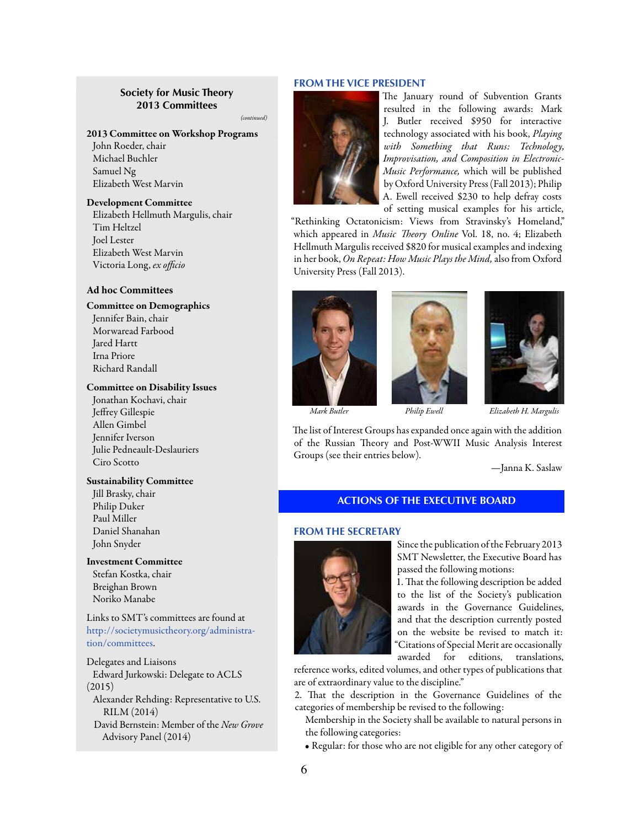# **Society for Music Theory 2013 Committees**

*(continued)*

#### 2013 Committee on Workshop Programs

John Roeder, chair Michael Buchler Samuel Ng Elizabeth West Marvin

#### Development Committee

Elizabeth Hellmuth Margulis, chair Tim Heltzel Joel Lester Elizabeth West Marvin Victoria Long, *ex officio*

#### **Ad hoc Committees**

#### Committee on Demographics

Jennifer Bain, chair Morwaread Farbood Jared Hartt Irna Priore Richard Randall

#### Committee on Disability Issues

Jonathan Kochavi, chair Jeffrey Gillespie Allen Gimbel Jennifer Iverson Julie Pedneault-Deslauriers Ciro Scotto

#### Sustainability Committee

Jill Brasky, chair Philip Duker Paul Miller Daniel Shanahan John Snyder

Investment Committee Stefan Kostka, chair Breighan Brown Noriko Manabe

Links to SMT's committees are found at [http://societymusictheory.org/administra](http://societymusictheory.org/administration/committees)[tion/committees](http://societymusictheory.org/administration/committees).

Delegates and Liaisons Edward Jurkowski: Delegate to ACLS (2015) Alexander Rehding: Representative to U.S. RILM (2014) David Bernstein: Member of the *New Grove* Advisory Panel (2014)

#### **FROM THE VICE PRESIDENT**



The January round of Subvention Grants resulted in the following awards: Mark J. Butler received \$950 for interactive technology associated with his book, *Playing with Something that Runs: Technology, Improvisation, and Composition in Electronic-Music Performance,* which will be published by Oxford University Press (Fall 2013); Philip A. Ewell received \$230 to help defray costs of setting musical examples for his article,

"Rethinking Octatonicism: Views from Stravinsky's Homeland," which appeared in *Music Theory Online* Vol. 18, no. 4; Elizabeth Hellmuth Margulis received \$820 for musical examples and indexing in her book, *On Repeat: How Music Plays the Mind,* also from Oxford University Press (Fall 2013).







 *Mark Butler Philip Ewell Elizabeth H. Margulis*

The list of Interest Groups has expanded once again with the addition of the Russian Theory and Post-WWII Music Analysis Interest Groups (see their entries below).

—Janna K. Saslaw

# **ACTIONS OF THE EXECUTIVE BOARD**

#### **FROM THE SECRETARY**



Since the publication of the February 2013 SMT Newsletter, the Executive Board has passed the following motions:

1. That the following description be added to the list of the Society's publication awards in the Governance Guidelines, and that the description currently posted on the website be revised to match it: Citations of Special Merit are occasionally awarded for editions, translations,

reference works, edited volumes, and other types of publications that are of extraordinary value to the discipline."

2. That the description in the Governance Guidelines of the categories of membership be revised to the following:

Membership in the Society shall be available to natural persons in the following categories:

• Regular: for those who are not eligible for any other category of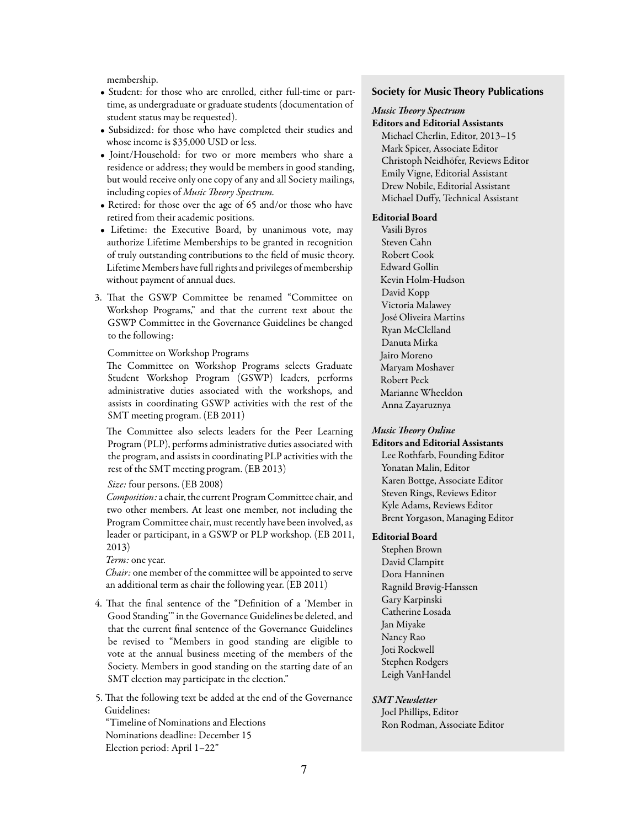membership.

- Student: for those who are enrolled, either full-time or parttime, as undergraduate or graduate students (documentation of student status may be requested).
- Subsidized: for those who have completed their studies and whose income is \$35,000 USD or less.
- Joint/Household: for two or more members who share a residence or address; they would be members in good standing, but would receive only one copy of any and all Society mailings, including copies of *Music Theory Spectrum.*
- Retired: for those over the age of 65 and/or those who have retired from their academic positions.
- Lifetime: the Executive Board, by unanimous vote, may authorize Lifetime Memberships to be granted in recognition of truly outstanding contributions to the field of music theory. Lifetime Members have full rights and privileges of membership without payment of annual dues.
- 3. That the GSWP Committee be renamed "Committee on Workshop Programs," and that the current text about the GSWP Committee in the Governance Guidelines be changed to the following:

#### Committee on Workshop Programs

The Committee on Workshop Programs selects Graduate Student Workshop Program (GSWP) leaders, performs administrative duties associated with the workshops, and assists in coordinating GSWP activities with the rest of the SMT meeting program. (EB 2011)

The Committee also selects leaders for the Peer Learning Program (PLP), performs administrative duties associated with the program, and assists in coordinating PLP activities with the rest of the SMT meeting program. (EB 2013)

#### *Size:* four persons. (EB 2008)

*Composition:* a chair, the current Program Committee chair, and two other members. At least one member, not including the Program Committee chair, must recently have been involved, as leader or participant, in a GSWP or PLP workshop. (EB 2011, 2013)

*Term:* one year.

*Chair:* one member of the committee will be appointed to serve an additional term as chair the following year. (EB 2011)

4. That the final sentence of the "Definition of a 'Member in Good Standing'" in the Governance Guidelines be deleted, and that the current final sentence of the Governance Guidelines be revised to "Members in good standing are eligible to vote at the annual business meeting of the members of the Society. Members in good standing on the starting date of an SMT election may participate in the election."

5. That the following text be added at the end of the Governance Guidelines: "Timeline of Nominations and Elections

Nominations deadline: December 15 Election period: April 1–22"

#### **Society for Music Theory Publications**

#### *Music Theory Spectrum* Editors and Editorial Assistants

Michael Cherlin, Editor, 2013–15 Mark Spicer, Associate Editor Christoph Neidhöfer, Reviews Editor Emily Vigne, Editorial Assistant Drew Nobile, Editorial Assistant Michael Duffy, Technical Assistant

#### Editorial Board

Vasili Byros Steven Cahn Robert Cook Edward Gollin Kevin Holm-Hudson David Kopp Victoria Malawey José Oliveira Martins Ryan McClelland Danuta Mirka Jairo Moreno Maryam Moshaver Robert Peck Marianne Wheeldon Anna Zayaruznya

#### *Music Theory Online*

Editors and Editorial Assistants Lee Rothfarb, Founding Editor Yonatan Malin, Editor Karen Bottge, Associate Editor Steven Rings, Reviews Editor Kyle Adams, Reviews Editor Brent Yorgason, Managing Editor

#### Editorial Board

Stephen Brown David Clampitt Dora Hanninen Ragnild Brøvig-Hanssen Gary Karpinski Catherine Losada Jan Miyake Nancy Rao Joti Rockwell Stephen Rodgers Leigh VanHandel

# *SMT Newsletter*

Joel Phillips, Editor Ron Rodman, Associate Editor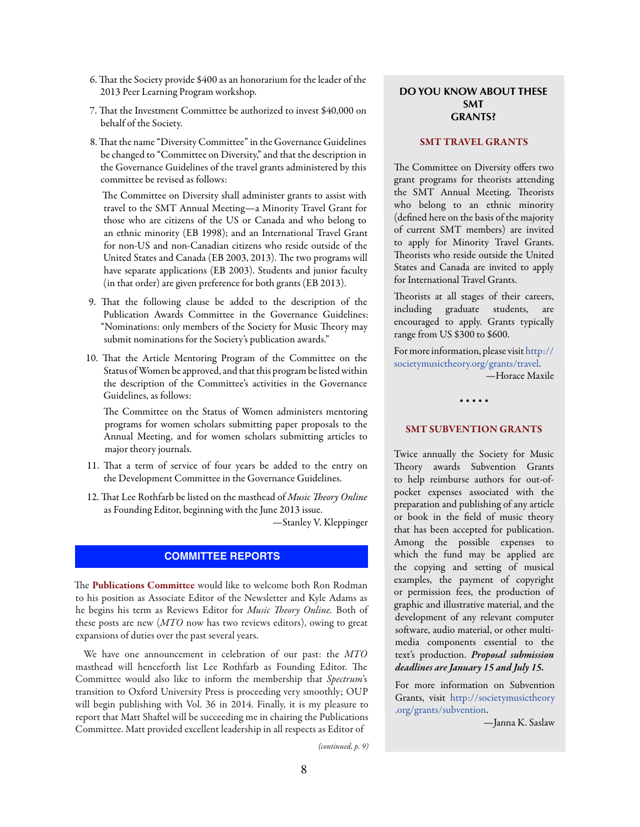- <span id="page-7-0"></span>6. That the Society provide \$400 as an honorarium for the leader of the 2013 Peer Learning Program workshop.
- 7. That the Investment Committee be authorized to invest \$40,000 on behalf of the Society.
- 8. That the name "Diversity Committee" in the Governance Guidelines be changed to "Committee on Diversity," and that the description in the Governance Guidelines of the travel grants administered by this committee be revised as follows:

The Committee on Diversity shall administer grants to assist with travel to the SMT Annual Meeting—a Minority Travel Grant for those who are citizens of the US or Canada and who belong to an ethnic minority (EB 1998); and an International Travel Grant for non-US and non-Canadian citizens who reside outside of the United States and Canada (EB 2003, 2013). The two programs will have separate applications (EB 2003). Students and junior faculty (in that order) are given preference for both grants (EB 2013).

- 9. That the following clause be added to the description of the Publication Awards Committee in the Governance Guidelines: "Nominations: only members of the Society for Music Theory may submit nominations for the Society's publication awards."
- 10. That the Article Mentoring Program of the Committee on the Status of Women be approved, and that this program be listed within the description of the Committee's activities in the Governance Guidelines, as follows:

The Committee on the Status of Women administers mentoring programs for women scholars submitting paper proposals to the Annual Meeting, and for women scholars submitting articles to major theory journals.

- 11. That a term of service of four years be added to the entry on the Development Committee in the Governance Guidelines.
- 12. That Lee Rothfarb be listed on the masthead of *Music Theory Online* as Founding Editor, beginning with the June 2013 issue.

—Stanley V. Kleppinger

# **COMMITTEE REPORTS**

The Publications Committee would like to welcome both Ron Rodman to his position as Associate Editor of the Newsletter and Kyle Adams as he begins his term as Reviews Editor for *Music Theory Online.* Both of these posts are new (*MTO* now has two reviews editors), owing to great expansions of duties over the past several years.

We have one announcement in celebration of our past: the *MTO*  masthead will henceforth list Lee Rothfarb as Founding Editor. The Committee would also like to inform the membership that *Spectrum*'s transition to Oxford University Press is proceeding very smoothly; OUP will begin publishing with Vol. 36 in 2014. Finally, it is my pleasure to report that Matt Shaftel will be succeeding me in chairing the Publications Committee. Matt provided excellent leadership in all respects as Editor of

# **DO YOU KNOW ABOUT THESE SMT GRANTS?**

# SMT TRAVEL GRANTS

The Committee on Diversity offers two grant programs for theorists attending the SMT Annual Meeting. Theorists who belong to an ethnic minority (defined here on the basis of the majority of current SMT members) are invited to apply for Minority Travel Grants. Theorists who reside outside the United States and Canada are invited to apply for International Travel Grants.

Theorists at all stages of their careers, including graduate students, are encouraged to apply. Grants typically range from US \$300 to \$600.

For more information, please visit [http://](http://societymusictheory.org/grants/travel) [societymusictheory.org/grants/travel.](http://societymusictheory.org/grants/travel)

—Horace Maxile

#### • • • • •

#### SMT SUBVENTION GRANTS

Twice annually the Society for Music Theory awards Subvention Grants to help reimburse authors for out-ofpocket expenses associated with the preparation and publishing of any article or book in the field of music theory that has been accepted for publication. Among the possible expenses to which the fund may be applied are the copying and setting of musical examples, the payment of copyright or permission fees, the production of graphic and illustrative material, and the development of any relevant computer software, audio material, or other multimedia components essential to the text's production. *Proposal submission deadlines are January 15 and July 15.*

For more information on Subvention Grants, visit [http://societymusictheory](http://societymusictheory.org/grants/subvention) [.org/grants/subvention](http://societymusictheory.org/grants/subvention).

—Janna K. Saslaw

*(continued, p. 9)*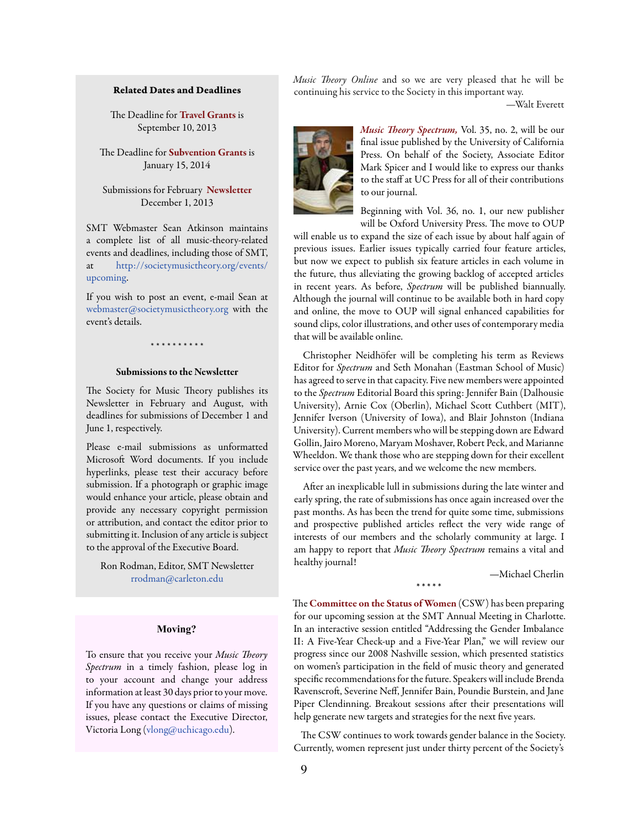#### Related Dates and Deadlines

The Deadline for Travel Grants is September 10, 2013

The Deadline for **Subvention Grants** is January 15, 2014

Submissions for February Newsletter December 1, 2013

SMT Webmaster Sean Atkinson maintains a complete list of all music-theory-related events and deadlines, including those of SMT, at [http://societymusictheory.org/events/](http://societymusictheory.org/events/upcoming) [upcoming.](http://societymusictheory.org/events/upcoming)

If you wish to post an event, e-mail Sean at [webmaster@societymusictheory.org](mailto:webmaster%40societymusictheory.org?subject=) with the event's details.

# \* \* \* \* \* \* \* \* \*

#### Submissions to the Newsletter

The Society for Music Theory publishes its Newsletter in February and August, with deadlines for submissions of December 1 and June 1, respectively.

Please e-mail submissions as unformatted Microsoft Word documents. If you include hyperlinks, please test their accuracy before submission. If a photograph or graphic image would enhance your article, please obtain and provide any necessary copyright permission or attribution, and contact the editor prior to submitting it. Inclusion of any article is subject to the approval of the Executive Board.

Ron Rodman, Editor, SMT Newsletter [rrodman@carleton.edu](mailto:rrodman%40carleton.edu?subject=)

#### **Moving?**

To ensure that you receive your *Music Theory Spectrum* in a timely fashion, please log in to your account and change your address information at least 30 days prior to your move. If you have any questions or claims of missing issues, please contact the Executive Director, Victoria Long [\(vlong@uchicago.edu](mailto:vlong%40uchicago.edu?subject=)).

*Music Theory Online* and so we are very pleased that he will be continuing his service to the Society in this important way.

—Walt Everett



*Music Theory Spectrum,* Vol. 35, no. 2, will be our final issue published by the University of California Press. On behalf of the Society, Associate Editor Mark Spicer and I would like to express our thanks to the staff at UC Press for all of their contributions to our journal.

Beginning with Vol. 36, no. 1, our new publisher will be Oxford University Press. The move to OUP

will enable us to expand the size of each issue by about half again of previous issues. Earlier issues typically carried four feature articles, but now we expect to publish six feature articles in each volume in the future, thus alleviating the growing backlog of accepted articles in recent years. As before, *Spectrum* will be published biannually. Although the journal will continue to be available both in hard copy and online, the move to OUP will signal enhanced capabilities for sound clips, color illustrations, and other uses of contemporary media that will be available online.

Christopher Neidhöfer will be completing his term as Reviews Editor for *Spectrum* and Seth Monahan (Eastman School of Music) has agreed to serve in that capacity. Five new members were appointed to the *Spectrum* Editorial Board this spring: Jennifer Bain (Dalhousie University), Arnie Cox (Oberlin), Michael Scott Cuthbert (MIT), Jennifer Iverson (University of Iowa), and Blair Johnston (Indiana University). Current members who will be stepping down are Edward Gollin, Jairo Moreno, Maryam Moshaver, Robert Peck, and Marianne Wheeldon. We thank those who are stepping down for their excellent service over the past years, and we welcome the new members.

After an inexplicable lull in submissions during the late winter and early spring, the rate of submissions has once again increased over the past months. As has been the trend for quite some time, submissions and prospective published articles reflect the very wide range of interests of our members and the scholarly community at large. I am happy to report that *Music Theory Spectrum* remains a vital and healthy journal!

\* \* \* \* \*

—Michael Cherlin

The Committee on the Status of Women (CSW) has been preparing for our upcoming session at the SMT Annual Meeting in Charlotte. In an interactive session entitled "Addressing the Gender Imbalance II: A Five-Year Check-up and a Five-Year Plan," we will review our progress since our 2008 Nashville session, which presented statistics on women's participation in the field of music theory and generated specific recommendations for the future. Speakers will include Brenda Ravenscroft, Severine Neff, Jennifer Bain, Poundie Burstein, and Jane Piper Clendinning. Breakout sessions after their presentations will help generate new targets and strategies for the next five years.

The CSW continues to work towards gender balance in the Society. Currently, women represent just under thirty percent of the Society's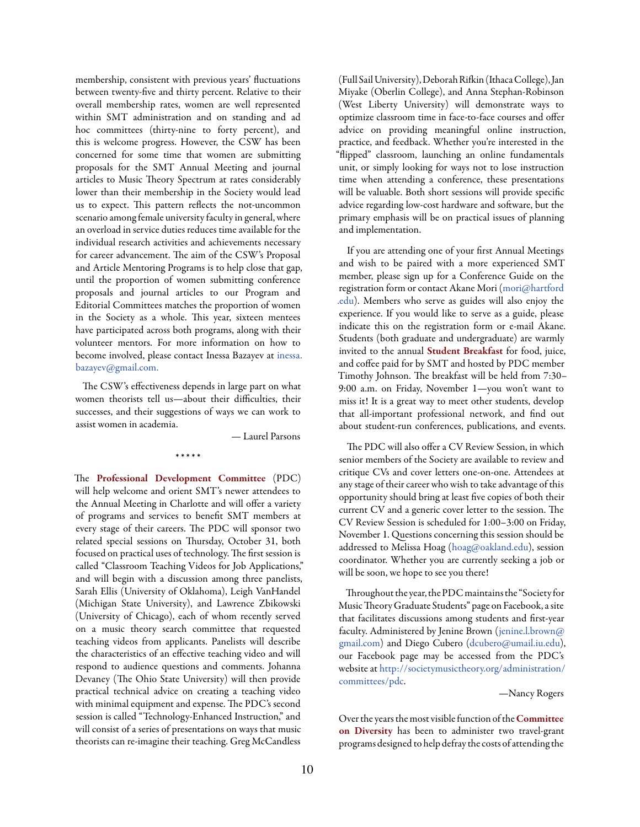membership, consistent with previous years' fluctuations between twenty-five and thirty percent. Relative to their overall membership rates, women are well represented within SMT administration and on standing and ad hoc committees (thirty-nine to forty percent), and this is welcome progress. However, the CSW has been concerned for some time that women are submitting proposals for the SMT Annual Meeting and journal articles to Music Theory Spectrum at rates considerably lower than their membership in the Society would lead us to expect. This pattern reflects the not-uncommon scenario among female university faculty in general, where an overload in service duties reduces time available for the individual research activities and achievements necessary for career advancement. The aim of the CSW's Proposal and Article Mentoring Programs is to help close that gap, until the proportion of women submitting conference proposals and journal articles to our Program and Editorial Committees matches the proportion of women in the Society as a whole. This year, sixteen mentees have participated across both programs, along with their volunteer mentors. For more information on how to become involved, please contact Inessa Bazayev at [inessa.](mailto:inessa.bazayev%40gmail.com?subject=) [bazayev@gmail.com](mailto:inessa.bazayev%40gmail.com?subject=)[.](mailto:inessa.bazayev@gmail.com)

The CSW's effectiveness depends in large part on what women theorists tell us—about their difficulties, their successes, and their suggestions of ways we can work to assist women in academia.

\* \* \* \* \*

— Laurel Parsons

The Professional Development Committee (PDC) will help welcome and orient SMT's newer attendees to the Annual Meeting in Charlotte and will offer a variety of programs and services to benefit SMT members at every stage of their careers. The PDC will sponsor two related special sessions on Thursday, October 31, both focused on practical uses of technology. The first session is called "Classroom Teaching Videos for Job Applications," and will begin with a discussion among three panelists, Sarah Ellis (University of Oklahoma), Leigh VanHandel (Michigan State University), and Lawrence Zbikowski (University of Chicago), each of whom recently served on a music theory search committee that requested teaching videos from applicants. Panelists will describe the characteristics of an effective teaching video and will respond to audience questions and comments. Johanna Devaney (The Ohio State University) will then provide practical technical advice on creating a teaching video with minimal equipment and expense. The PDC's second session is called "Technology-Enhanced Instruction," and will consist of a series of presentations on ways that music theorists can re-imagine their teaching. Greg McCandless

(Full Sail University), Deborah Rifkin (Ithaca College), Jan Miyake (Oberlin College), and Anna Stephan-Robinson (West Liberty University) will demonstrate ways to optimize classroom time in face-to-face courses and offer advice on providing meaningful online instruction, practice, and feedback. Whether you're interested in the "flipped" classroom, launching an online fundamentals unit, or simply looking for ways not to lose instruction time when attending a conference, these presentations will be valuable. Both short sessions will provide specific advice regarding low-cost hardware and software, but the primary emphasis will be on practical issues of planning and implementation.

If you are attending one of your first Annual Meetings and wish to be paired with a more experienced SMT member, please sign up for a Conference Guide on the registration form or contact Akane Mori [\(mori@hartford](mailto:mori%40hartford.edu?subject=)  [.edu\)](mailto:mori%40hartford.edu?subject=). Members who serve as guides will also enjoy the experience. If you would like to serve as a guide, please indicate this on the registration form or e-mail Akane. Students (both graduate and undergraduate) are warmly invited to the annual Student Breakfast for food, juice, and coffee paid for by SMT and hosted by PDC member Timothy Johnson. The breakfast will be held from 7:30– 9:00 a.m. on Friday, November 1—you won't want to miss it! It is a great way to meet other students, develop that all-important professional network, and find out about student-run conferences, publications, and events.

The PDC will also offer a CV Review Session, in which senior members of the Society are available to review and critique CVs and cover letters one-on-one. Attendees at any stage of their career who wish to take advantage of this opportunity should bring at least five copies of both their current CV and a generic cover letter to the session. The CV Review Session is scheduled for 1:00–3:00 on Friday, November 1. Questions concerning this session should be addressed to Melissa Hoag ([hoag@oakland.edu\)](mailto:hoag%40oakland.edu?subject=), session coordinator. Whether you are currently seeking a job or will be soon, we hope to see you there!

Throughout the year, the PDC maintains the "Society for Music Theory Graduate Students" page on Facebook, a site that facilitates discussions among students and first-year faculty. Administered by Jenine Brown [\(jenine.l.brown@](mailto:jenine.l.brown@gmail.com) [gmail.com\)](mailto:jenine.l.brown@gmail.com) and Diego Cubero [\(dcubero@umail.iu.edu\)](mailto:dcubero%40umail.iu.edu?subject=), our Facebook page may be accessed from the PDC's website at [http://societymusictheory.org/administration/](http://societymusictheory.org/administration/committees/pdc) [committees/pdc](http://societymusictheory.org/administration/committees/pdc).

—Nancy Rogers

Over the years the most visible function of the Committee on Diversity has been to administer two travel-grant programs designed to help defray the costs of attending the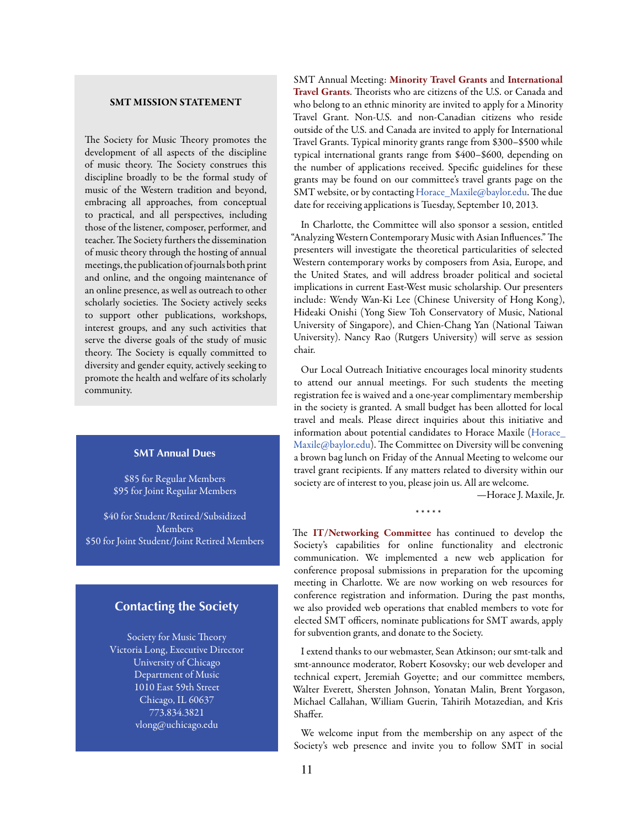# SMT MISSION STATEMENT

The Society for Music Theory promotes the development of all aspects of the discipline of music theory. The Society construes this discipline broadly to be the formal study of music of the Western tradition and beyond, embracing all approaches, from conceptual to practical, and all perspectives, including those of the listener, composer, performer, and teacher. The Society furthers the dissemination of music theory through the hosting of annual meetings, the publication of journals both print and online, and the ongoing maintenance of an online presence, as well as outreach to other scholarly societies. The Society actively seeks to support other publications, workshops, interest groups, and any such activities that serve the diverse goals of the study of music theory. The Society is equally committed to diversity and gender equity, actively seeking to promote the health and welfare of its scholarly community.

# **SMT Annual Dues**

\$85 for Regular Members \$95 for Joint Regular Members

\$40 for Student/Retired/Subsidized Members \$50 for Joint Student/Joint Retired Members

# **Contacting the Society**

Society for Music Theory Victoria Long, Executive Director University of Chicago Department of Music 1010 East 59th Street Chicago, IL 60637 773.834.3821 [vlong@uchicago.edu](mailto:vlong%40uchicago.edu?subject=)

SMT Annual Meeting: Minority Travel Grants and International Travel Grants. Theorists who are citizens of the U.S. or Canada and who belong to an ethnic minority are invited to apply for a Minority Travel Grant. Non-U.S. and non-Canadian citizens who reside outside of the U.S. and Canada are invited to apply for International Travel Grants. Typical minority grants range from \$300–\$500 while typical international grants range from \$400–\$600, depending on the number of applications received. Specific guidelines for these grants may be found on our committee's travel grants page on the SMT website, or by contacting [Horace\\_Maxile@baylor.edu](mailto:Horace_Maxile%40baylor.edu?subject=). The due date for receiving applications is Tuesday, September 10, 2013.

In Charlotte, the Committee will also sponsor a session, entitled "Analyzing Western Contemporary Music with Asian Influences." The presenters will investigate the theoretical particularities of selected Western contemporary works by composers from Asia, Europe, and the United States, and will address broader political and societal implications in current East-West music scholarship. Our presenters include: Wendy Wan-Ki Lee (Chinese University of Hong Kong), Hideaki Onishi (Yong Siew Toh Conservatory of Music, National University of Singapore), and Chien-Chang Yan (National Taiwan University). Nancy Rao (Rutgers University) will serve as session chair.

Our Local Outreach Initiative encourages local minority students to attend our annual meetings. For such students the meeting registration fee is waived and a one-year complimentary membership in the society is granted. A small budget has been allotted for local travel and meals. Please direct inquiries about this initiative and information about potential candidates to Horace Maxile [\(Horace\\_](mailto:?subject=) [Maxile@baylor.edu](mailto:?subject=)). The Committee on Diversity will be convening a brown bag lunch on Friday of the Annual Meeting to welcome our travel grant recipients. If any matters related to diversity within our society are of interest to you, please join us. All are welcome.

—Horace J. Maxile, Jr.

\* \* \* \* \*

The IT/Networking Committee has continued to develop the Society's capabilities for online functionality and electronic communication. We implemented a new web application for conference proposal submissions in preparation for the upcoming meeting in Charlotte. We are now working on web resources for conference registration and information. During the past months, we also provided web operations that enabled members to vote for elected SMT officers, nominate publications for SMT awards, apply for subvention grants, and donate to the Society.

I extend thanks to our webmaster, Sean Atkinson; our smt-talk and smt-announce moderator, Robert Kosovsky; our web developer and technical expert, Jeremiah Goyette; and our committee members, Walter Everett, Shersten Johnson, Yonatan Malin, Brent Yorgason, Michael Callahan, William Guerin, Tahirih Motazedian, and Kris Shaffer.

We welcome input from the membership on any aspect of the Society's web presence and invite you to follow SMT in social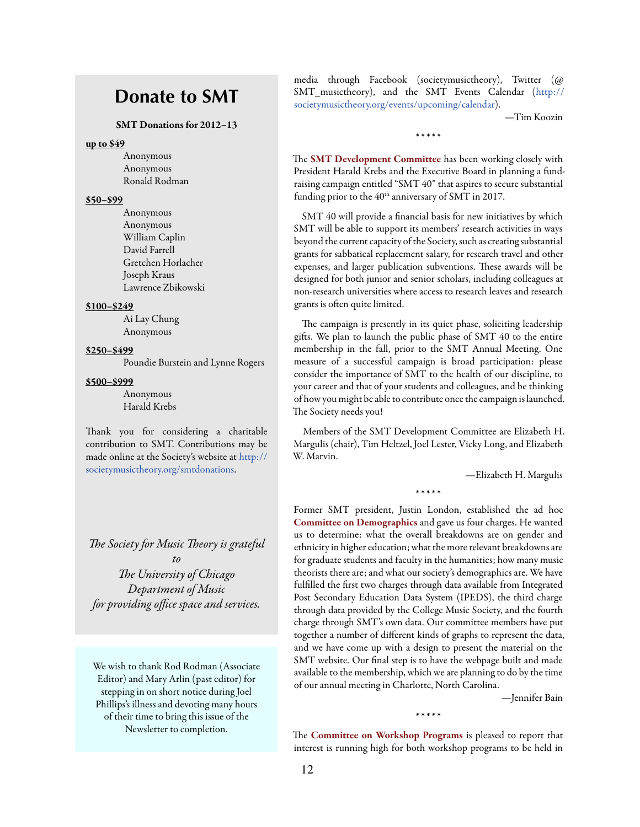# **Donate to SMT**

#### SMT Donations for 2012–13

### up to \$49

Anonymous Anonymous Ronald Rodman

## \$50–\$99

Anonymous Anonymous William Caplin David Farrell Gretchen Horlacher Joseph Kraus Lawrence Zbikowski

# \$100–\$249

Ai Lay Chung Anonymous

# \$250–\$499

Poundie Burstein and Lynne Rogers

#### \$500–\$999

Anonymous Harald Krebs

Thank you for considering a charitable contribution to SMT. Contributions may be made online at the Society's website at [http://](http://societymusictheory.org/smtdonations) [societymusictheory.org/smtdonations](http://societymusictheory.org/smtdonations).

*The Society for Music Theory is grateful to The University of Chicago Department of Music for providing office space and services.*

We wish to thank Rod Rodman (Associate Editor) and Mary Arlin (past editor) for stepping in on short notice during Joel Phillips's illness and devoting many hours of their time to bring this issue of the Newsletter to completion.

media through Facebook (societymusictheory), Twitter (@ SMT\_musictheory), and the SMT Events Calendar ([http://](http://societymusictheory.org/events/upcoming/calendar) [societymusictheory.org/events/upcoming/calendar\)](http://societymusictheory.org/events/upcoming/calendar).

—Tim Koozin

\* \* \* \* \*

The **SMT Development Committee** has been working closely with President Harald Krebs and the Executive Board in planning a fundraising campaign entitled "SMT 40" that aspires to secure substantial funding prior to the  $40<sup>th</sup>$  anniversary of SMT in 2017.

SMT 40 will provide a financial basis for new initiatives by which SMT will be able to support its members' research activities in ways beyond the current capacity of the Society, such as creating substantial grants for sabbatical replacement salary, for research travel and other expenses, and larger publication subventions. These awards will be designed for both junior and senior scholars, including colleagues at non-research universities where access to research leaves and research grants is often quite limited.

The campaign is presently in its quiet phase, soliciting leadership gifts. We plan to launch the public phase of SMT 40 to the entire membership in the fall, prior to the SMT Annual Meeting. One measure of a successful campaign is broad participation: please consider the importance of SMT to the health of our discipline, to your career and that of your students and colleagues, and be thinking of how you might be able to contribute once the campaign is launched. The Society needs you!

Members of the SMT Development Committee are Elizabeth H. Margulis (chair), Tim Heltzel, Joel Lester, Vicky Long, and Elizabeth W. Marvin.

—Elizabeth H. Margulis

\* \* \* \* \*

Former SMT president, Justin London, established the ad hoc Committee on Demographics and gave us four charges. He wanted us to determine: what the overall breakdowns are on gender and ethnicity in higher education; what the more relevant breakdowns are for graduate students and faculty in the humanities; how many music theorists there are; and what our society's demographics are. We have fulfilled the first two charges through data available from Integrated Post Secondary Education Data System (IPEDS), the third charge through data provided by the College Music Society, and the fourth charge through SMT's own data. Our committee members have put together a number of different kinds of graphs to represent the data, and we have come up with a design to present the material on the SMT website. Our final step is to have the webpage built and made available to the membership, which we are planning to do by the time of our annual meeting in Charlotte, North Carolina.

—Jennifer Bain

The Committee on Workshop Programs is pleased to report that interest is running high for both workshop programs to be held in

\* \* \* \* \*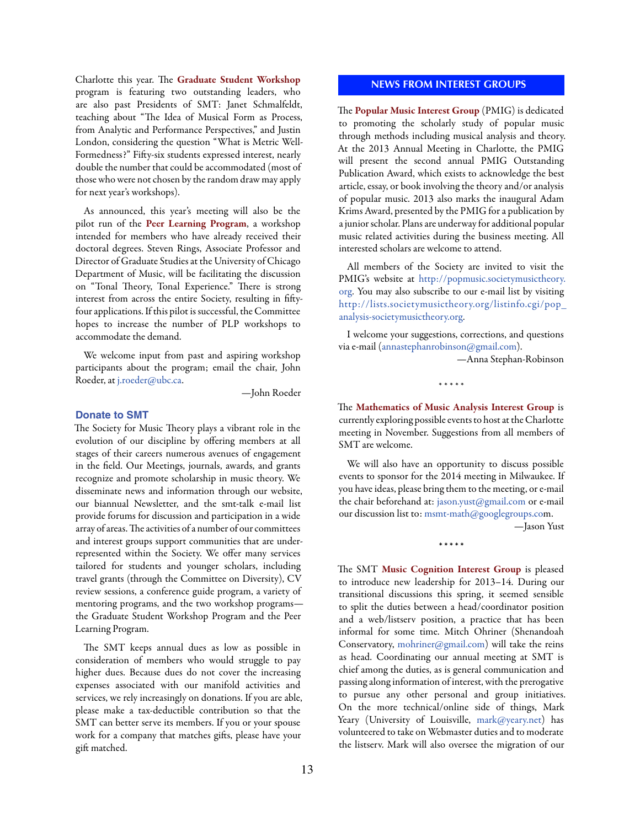<span id="page-12-0"></span>Charlotte this year. The Graduate Student Workshop program is featuring two outstanding leaders, who are also past Presidents of SMT: Janet Schmalfeldt, teaching about "The Idea of Musical Form as Process, from Analytic and Performance Perspectives," and Justin London, considering the question "What is Metric Well-Formedness?" Fifty-six students expressed interest, nearly double the number that could be accommodated (most of those who were not chosen by the random draw may apply for next year's workshops).

As announced, this year's meeting will also be the pilot run of the Peer Learning Program, a workshop intended for members who have already received their doctoral degrees. Steven Rings, Associate Professor and Director of Graduate Studies at the University of Chicago Department of Music, will be facilitating the discussion on "Tonal Theory, Tonal Experience." There is strong interest from across the entire Society, resulting in fiftyfour applications. If this pilot is successful, the Committee hopes to increase the number of PLP workshops to accommodate the demand.

We welcome input from past and aspiring workshop participants about the program; email the chair, John Roeder, at [j.roeder@ubc.ca.](mailto:j.roeder%40ubc.ca?subject=)

—John Roeder

#### **Donate to SMT**

The Society for Music Theory plays a vibrant role in the evolution of our discipline by offering members at all stages of their careers numerous avenues of engagement in the field. Our Meetings, journals, awards, and grants recognize and promote scholarship in music theory. We disseminate news and information through our website, our biannual Newsletter, and the smt-talk e-mail list provide forums for discussion and participation in a wide array of areas. The activities of a number of our committees and interest groups support communities that are underrepresented within the Society. We offer many services tailored for students and younger scholars, including travel grants (through the Committee on Diversity), CV review sessions, a conference guide program, a variety of mentoring programs, and the two workshop programs the Graduate Student Workshop Program and the Peer Learning Program.

The SMT keeps annual dues as low as possible in consideration of members who would struggle to pay higher dues. Because dues do not cover the increasing expenses associated with our manifold activities and services, we rely increasingly on donations. If you are able, please make a tax-deductible contribution so that the SMT can better serve its members. If you or your spouse work for a company that matches gifts, please have your gift matched.

## **NEWS FROM INTEREST GROUPS**

The Popular Music Interest Group (PMIG) is dedicated to promoting the scholarly study of popular music through methods including musical analysis and theory. At the 2013 Annual Meeting in Charlotte, the PMIG will present the second annual PMIG Outstanding Publication Award, which exists to acknowledge the best article, essay, or book involving the theory and/or analysis of popular music. 2013 also marks the inaugural Adam Krims Award, presented by the PMIG for a publication by a junior scholar. Plans are underway for additional popular music related activities during the business meeting. All interested scholars are welcome to attend.

All members of the Society are invited to visit the PMIG's website at [http://popmusic.societymusictheory.](http://popmusic.societymusictheory.org) [org.](http://popmusic.societymusictheory.org) You may also subscribe to our e-mail list by visiting [http://lists.societymusictheory.org/listinfo.cgi/pop\\_](http://lists.societymusictheory.org/listinfo.cgi/pop_analysis-societymusictheory.org) [analysis-societymusictheory.org](http://lists.societymusictheory.org/listinfo.cgi/pop_analysis-societymusictheory.org)[.](http://lists.societymusictheory.org/listinfo.cgi/pop_analysis-societymusictheory.org.)

I welcome your suggestions, corrections, and questions via e-mail [\(annastephanrobinson@gmail.com](mailto:annastephanrobinson%40gmail.com?subject=)).

—Anna Stephan-Robinson

\* \* \* \* \*

The Mathematics of Music Analysis Interest Group is currently exploring possible events to host at the Charlotte meeting in November. Suggestions from all members of SMT are welcome.

We will also have an opportunity to discuss possible events to sponsor for the 2014 meeting in Milwaukee. If you have ideas, please bring them to the meeting, or e-mail the chair beforehand at: [jason.yust@gmail.com](mailto:jason.yust%40gmail.com?subject=) or e-mail our discussion list to: [msmt-math@googlegroups.com](mailto:msmt-math%40googlegroups.com?subject=).

—Jason Yust

\* \* \* \* \*

The SMT Music Cognition Interest Group is pleased to introduce new leadership for 2013–14. During our transitional discussions this spring, it seemed sensible to split the duties between a head/coordinator position and a web/listserv position, a practice that has been informal for some time. Mitch Ohriner (Shenandoah Conservatory, [mohriner@gmail.com\)](mailto:mohriner%40gmail.com?subject=) will take the reins as head. Coordinating our annual meeting at SMT is chief among the duties, as is general communication and passing along information of interest, with the prerogative to pursue any other personal and group initiatives. On the more technical/online side of things, Mark Yeary (University of Louisville, [mark@yeary.net](mailto:mark%40yeary.net?subject=)) has volunteered to take on Webmaster duties and to moderate the listserv. Mark will also oversee the migration of our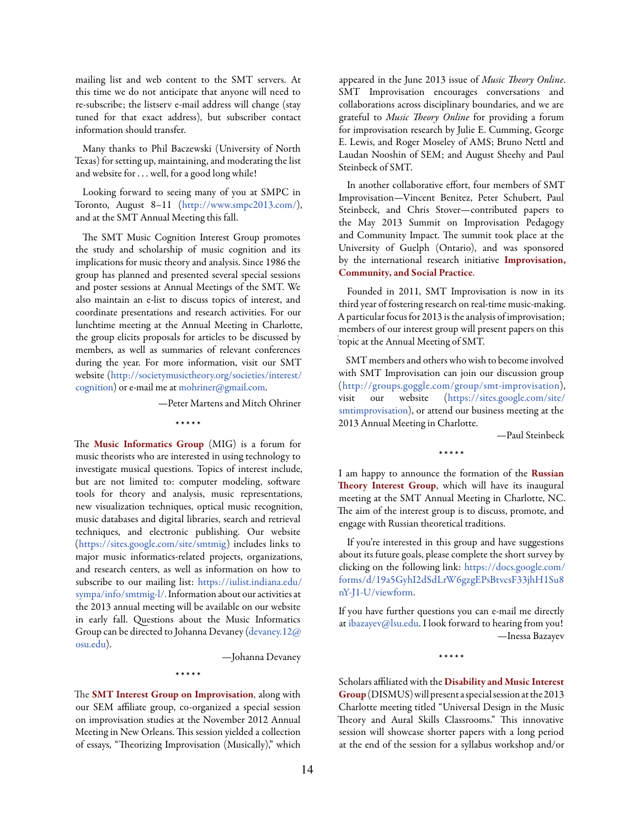mailing list and web content to the SMT servers. At this time we do not anticipate that anyone will need to re-subscribe; the listserv e-mail address will change (stay tuned for that exact address), but subscriber contact information should transfer.

Many thanks to Phil Baczewski (University of North Texas) for setting up, maintaining, and moderating the list and website for . . . well, for a good long while!

Looking forward to seeing many of you at SMPC in Toronto, August 8–11 [\(http://www.smpc2013.com/\)](http://www.smpc2013.com/), and at the SMT Annual Meeting this fall.

The SMT Music Cognition Interest Group promotes the study and scholarship of music cognition and its implications for music theory and analysis. Since 1986 the group has planned and presented several special sessions and poster sessions at Annual Meetings of the SMT. We also maintain an e-list to discuss topics of interest, and coordinate presentations and research activities. For our lunchtime meeting at the Annual Meeting in Charlotte, the group elicits proposals for articles to be discussed by members, as well as summaries of relevant conferences during the year. For more information, visit our SMT website ([http://societymusictheory.org/societies/interest/](http://societymusictheory.org/societies/interest/cognition) [cognition](http://societymusictheory.org/societies/interest/cognition)) or e-mail me at [mohriner@gmail.com.](mailto:mohriner%40gmail.com?subject=)

—Peter Martens and Mitch Ohriner

\* \* \* \* \*

The Music Informatics Group (MIG) is a forum for music theorists who are interested in using technology to investigate musical questions. Topics of interest include, but are not limited to: computer modeling, software tools for theory and analysis, music representations, new visualization techniques, optical music recognition, music databases and digital libraries, search and retrieval techniques, and electronic publishing. Our website [\(https://sites.google.com/site/smtmig\)](https://sites.google.com/site/smtmig) includes links to major music informatics-related projects, organizations, and research centers, as well as information on how to subscribe to our mailing list: [https://iulist.indiana.edu/](https://iulist.indiana.edu/sympa/info/smtmig-l/) [sympa/info/smtmig-l/.](https://iulist.indiana.edu/sympa/info/smtmig-l/) Information about our activities at the 2013 annual meeting will be available on our website in early fall. Questions about the Music Informatics Group can be directed to Johanna Devaney [\(devaney.12@](mailto:devaney.12%40osu.edu?subject=) [osu.edu](mailto:devaney.12%40osu.edu?subject=)).

—Johanna Devaney

The **SMT** Interest Group on Improvisation, along with our SEM affiliate group, co-organized a special session on improvisation studies at the November 2012 Annual Meeting in New Orleans. This session yielded a collection of essays, "Theorizing Improvisation (Musically)," which

\* \* \* \* \*

appeared in the June 2013 issue of *[Music Theory Online](http://www.mtosmt.org/issues/mto.13.19.2/toc.19.2.html)*. SMT Improvisation encourages conversations and collaborations across disciplinary boundaries, and we are grateful to *Music Theory Online* for providing a forum for improvisation research by Julie E. Cumming, George E. Lewis, and Roger Moseley of AMS; Bruno Nettl and Laudan Nooshin of SEM; and August Sheehy and Paul Steinbeck of SMT.

In another collaborative effort, four members of SMT Improvisation—Vincent Benitez, Peter Schubert, Paul Steinbeck, and Chris Stover—contributed papers to the May 2013 Summit on Improvisation Pedagogy and Community Impact. The summit took place at the University of Guelph (Ontario), and was sponsored by the international research initiative [Improvisation,](http://www.improvcommunity.ca/)  [Community, and Social Practice](http://www.improvcommunity.ca/).

Founded in 2011, SMT Improvisation is now in its third year of fostering research on real-time music-making. A particular focus for 2013 is the analysis of improvisation; members of our interest group will present papers on this .<br>topic at the Annual Meeting of SMT.

SMT members and others who wish to become involved with SMT Improvisation can join our discussion group ([http://groups.goggle.com/group/smt-improvisation\)](http://groups.goggle.com/group/smt-improvisation), visit our website ([https://sites.google.com/site/](https://sites.google.com/site/smtimprovisation) [smtimprovisation](https://sites.google.com/site/smtimprovisation)), or attend our business meeting at the 2013 Annual Meeting in Charlotte.

—Paul Steinbeck

\* \* \* \* \*

I am happy to announce the formation of the Russian Theory Interest Group, which will have its inaugural meeting at the SMT Annual Meeting in Charlotte, NC. The aim of the interest group is to discuss, promote, and engage with Russian theoretical traditions.

If you're interested in this group and have suggestions about its future goals, please complete the short survey by clicking on the following link[: https://docs.google.com/](%20https://docs.google.com/forms/d/19a5GyhI2dSdLrW6gzgEPsBtvcsF33jhH1Su8nY-J1-U/viewform) [forms/d/19a5GyhI2dSdLrW6gzgEPsBtvcsF33jhH1Su8](%20https://docs.google.com/forms/d/19a5GyhI2dSdLrW6gzgEPsBtvcsF33jhH1Su8nY-J1-U/viewform) [nY-J1-U/viewform](%20https://docs.google.com/forms/d/19a5GyhI2dSdLrW6gzgEPsBtvcsF33jhH1Su8nY-J1-U/viewform).

If you have further questions you can e-mail me directly at [ibazayev@lsu.edu.](mailto:ibazayev%40lsu.edu?subject=) I look forward to hearing from you! —Inessa Bazayev

\* \* \* \* \*

Scholars affiliated with the Disability and Music Interest Group(DISMUS) will present a special session at the 2013 Charlotte meeting titled "Universal Design in the Music Theory and Aural Skills Classrooms." This innovative session will showcase shorter papers with a long period at the end of the session for a syllabus workshop and/or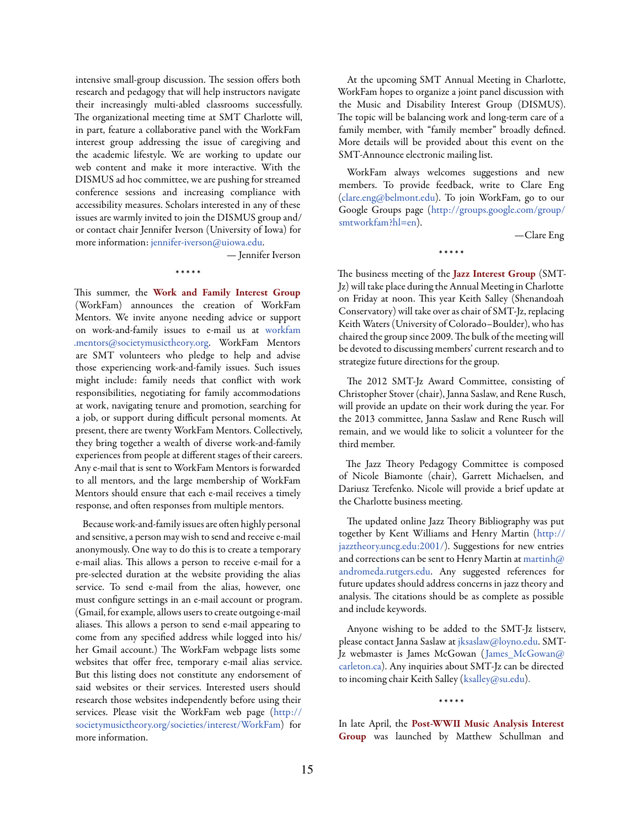intensive small-group discussion. The session offers both research and pedagogy that will help instructors navigate their increasingly multi-abled classrooms successfully. The organizational meeting time at SMT Charlotte will, in part, feature a collaborative panel with the WorkFam interest group addressing the issue of caregiving and the academic lifestyle. We are working to update our web content and make it more interactive. With the DISMUS ad hoc committee, we are pushing for streamed conference sessions and increasing compliance with accessibility measures. Scholars interested in any of these issues are warmly invited to join the DISMUS group and/ or contact chair Jennifer Iverson (University of Iowa) for more information: [jennifer-iverson@uiowa.edu](mailto:jennifer-iverson%40uiowa.edu?subject=).

\* \* \* \* \*

— Jennifer Iverson

This summer, the Work and Family Interest Group (WorkFam) announces the creation of WorkFam Mentors. We invite anyone needing advice or support on work-and-family issues to e-mail us at [workfam](mailto:http://societymusictheory.org/societies/interest/WorkFam?subject=)  [.mentors@societymusictheory.org.](mailto:http://societymusictheory.org/societies/interest/WorkFam?subject=) WorkFam Mentors are SMT volunteers who pledge to help and advise those experiencing work-and-family issues. Such issues might include: family needs that conflict with work responsibilities, negotiating for family accommodations at work, navigating tenure and promotion, searching for a job, or support during difficult personal moments. At present, there are twenty WorkFam Mentors. Collectively, they bring together a wealth of diverse work-and-family experiences from people at different stages of their careers. Any e-mail that is sent to WorkFam Mentors is forwarded to all mentors, and the large membership of WorkFam Mentors should ensure that each e-mail receives a timely response, and often responses from multiple mentors.

Because work-and-family issues are often highly personal and sensitive, a person may wish to send and receive e-mail anonymously. One way to do this is to create a temporary e-mail alias. This allows a person to receive e-mail for a pre-selected duration at the website providing the alias service. To send e-mail from the alias, however, one must configure settings in an e-mail account or program. (Gmail, for example, allows users to create outgoing e-mail aliases. This allows a person to send e-mail appearing to come from any specified address while logged into his/ her Gmail account.) The WorkFam webpage lists some websites that offer free, temporary e-mail alias service. But this listing does not constitute any endorsement of said websites or their services. Interested users should research those websites independently before using their services. Please visit the WorkFam web page ([http://](http://societymusictheory.org/societies/interest/WorkFam) [societymusictheory.org/societies/interest/WorkFam\)](http://societymusictheory.org/societies/interest/WorkFam) for more information.

At the upcoming SMT Annual Meeting in Charlotte, WorkFam hopes to organize a joint panel discussion with the Music and Disability Interest Group (DISMUS). The topic will be balancing work and long-term care of a family member, with "family member" broadly defined. More details will be provided about this event on the SMT-Announce electronic mailing list.

WorkFam always welcomes suggestions and new members. To provide feedback, write to Clare Eng [\(clare.eng@belmont.edu](mailto:clare.eng%40belmont.edu?subject=)). To join WorkFam, go to our Google Groups page ([http://groups.google.com/group/](http://groups.google.com/group/smtworkfam%3Fhl%3Den) [smtworkfam?hl=en\)](http://groups.google.com/group/smtworkfam%3Fhl%3Den).

—Clare Eng

\* \* \* \* \*

The business meeting of the Jazz Interest Group (SMT-Jz) will take place during the Annual Meeting in Charlotte on Friday at noon. This year Keith Salley (Shenandoah Conservatory) will take over as chair of SMT-Jz, replacing Keith Waters (University of Colorado–Boulder), who has chaired the group since 2009. The bulk of the meeting will be devoted to discussing members' current research and to strategize future directions for the group.

The 2012 SMT-Jz Award Committee, consisting of Christopher Stover (chair), Janna Saslaw, and Rene Rusch, will provide an update on their work during the year. For the 2013 committee, Janna Saslaw and Rene Rusch will remain, and we would like to solicit a volunteer for the third member.

The Jazz Theory Pedagogy Committee is composed of Nicole Biamonte (chair), Garrett Michaelsen, and Dariusz Terefenko. Nicole will provide a brief update at the Charlotte business meeting.

The updated online Jazz Theory Bibliography was put together by Kent Williams and Henry Martin ([http://](http://jazztheory.uncg.edu:2001/) [jazztheory.uncg.edu:2001/](http://jazztheory.uncg.edu:2001/)). Suggestions for new entries and corrections can be sent to Henry Martin at martinh $@$ [andromeda.rutgers.edu](mailto:martinh%40andromeda.rutgers.edu?subject=). Any suggested references for future updates should address concerns in jazz theory and analysis. The citations should be as complete as possible and include keywords.

Anyone wishing to be added to the SMT-Jz listserv, please contact Janna Saslaw at [jksaslaw@loyno.edu.](mailto:jksaslaw%40loyno.edu?subject=) SMT-Jz webmaster is James McGowan ([James\\_McGowan@](mailto:James_McGowan%40carleton.ca?subject=) [carleton.ca\)](mailto:James_McGowan%40carleton.ca?subject=). Any inquiries about SMT-Jz can be directed to incoming chair Keith Salley ([ksalley@su.edu](mailto:ksalley%40su.edu?subject=)).

\* \* \* \* \*

In late April, the Post-WWII Music Analysis Interest Group was launched by Matthew Schullman and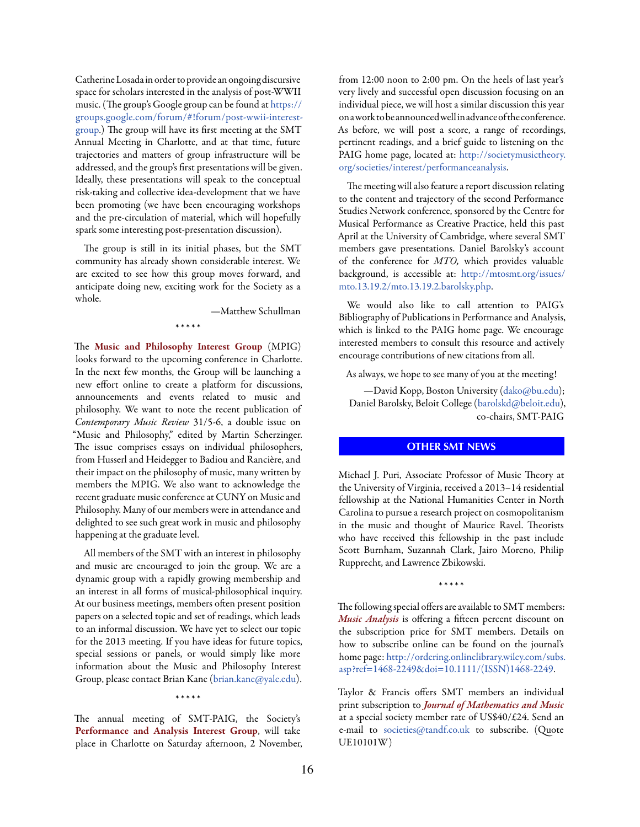<span id="page-15-0"></span>Catherine Losada in order to provide an ongoing discursive space for scholars interested in the analysis of post-WWII music. (The group's Google group can be found at https:// groups.google.com/forum/#!forum/post-wwii-interestgroup.) The group will have its first meeting at the SMT Annual Meeting in Charlotte, and at that time, future trajectories and matters of group infrastructure will be addressed, and the group's first presentations will be given. Ideally, these presentations will speak to the conceptual risk-taking and collective idea-development that we have been promoting (we have been encouraging workshops and the pre-circulation of material, which will hopefully spark some interesting post-presentation discussion).

The group is still in its initial phases, but the SMT community has already shown considerable interest. We are excited to see how this group moves forward, and anticipate doing new, exciting work for the Society as a whole.

\* \* \* \* \*

—Matthew Schullman

The Music and Philosophy Interest Group (MPIG) looks forward to the upcoming conference in Charlotte. In the next few months, the Group will be launching a new effort online to create a platform for discussions, announcements and events related to music and philosophy. We want to note the recent publication of *Contemporary Music Review* 31/5-6, a double issue on "Music and Philosophy," edited by Martin Scherzinger. The issue comprises essays on individual philosophers, from Husserl and Heidegger to Badiou and Rancière, and their impact on the philosophy of music, many written by members the MPIG. We also want to acknowledge the recent graduate music conference at CUNY on Music and Philosophy. Many of our members were in attendance and delighted to see such great work in music and philosophy happening at the graduate level.

All members of the SMT with an interest in philosophy and music are encouraged to join the group. We are a dynamic group with a rapidly growing membership and an interest in all forms of musical-philosophical inquiry. At our business meetings, members often present position papers on a selected topic and set of readings, which leads to an informal discussion. We have yet to select our topic for the 2013 meeting. If you have ideas for future topics, special sessions or panels, or would simply like more information about the Music and Philosophy Interest Group, please contact Brian Kane ([brian.kane@yale.edu](mailto:brian.kane%40yale.edu?subject=)).

\* \* \* \* \*

The annual meeting of SMT-PAIG, the Society's Performance and Analysis Interest Group, will take place in Charlotte on Saturday afternoon, 2 November,

from 12:00 noon to 2:00 pm. On the heels of last year's very lively and successful open discussion focusing on an individual piece, we will host a similar discussion this year on a work to be announced well in advance of the conference. As before, we will post a score, a range of recordings, pertinent readings, and a brief guide to listening on the PAIG home page, located at: [http://societymusictheory.](http://societymusictheory.org/societies/interest/performanceanalysis) [org/societies/interest/performanceanalysis.](http://societymusictheory.org/societies/interest/performanceanalysis)

The meeting will also feature a report discussion relating to the content and trajectory of the second Performance Studies Network conference, sponsored by the Centre for Musical Performance as Creative Practice, held this past April at the University of Cambridge, where several SMT members gave presentations. Daniel Barolsky's account of the conference for *MTO,* which provides valuable background, is accessible at: [http://mtosmt.org/issues/](http://mtosmt.org/issues/mto.13.19.2/mto.13.19.2.barolsky.php) [mto.13.19.2/mto.13.19.2.barolsky.php.](http://mtosmt.org/issues/mto.13.19.2/mto.13.19.2.barolsky.php)

We would also like to call attention to PAIG's Bibliography of Publications in Performance and Analysis, which is linked to the PAIG home page. We encourage interested members to consult this resource and actively encourage contributions of new citations from all.

As always, we hope to see many of you at the meeting!

—David Kopp, Boston University ([dako@bu.edu\)](mailto:dako%40bu.edu?subject=); Daniel Barolsky, Beloit College ([barolskd@beloit.edu\)](mailto:barolskd%40beloit.edu?subject=), co-chairs, SMT-PAIG

# **OTHER SMT NEWS**

Michael J. Puri, Associate Professor of Music Theory at the University of Virginia, received a 2013–14 residential fellowship at the National Humanities Center in North Carolina to pursue a research project on cosmopolitanism in the music and thought of Maurice Ravel. Theorists who have received this fellowship in the past include Scott Burnham, Suzannah Clark, Jairo Moreno, Philip Rupprecht, and Lawrence Zbikowski.

\* \* \* \* \*

The following special offers are available to SMT members: *Music Analysis* is offering a fifteen percent discount on the subscription price for SMT members. Details on how to subscribe online can be found on the journal's home page: [http://ordering.onlinelibrary.wiley.com/subs.](http://ordering.onlinelibrary.wiley.com/subs.asp%3Fref%3D1468-2249%26doi%3D10.1111/%28ISSN%291468-2249) [asp?ref=1468-2249&doi=10.1111/\(ISSN\)1468-2249.](http://ordering.onlinelibrary.wiley.com/subs.asp%3Fref%3D1468-2249%26doi%3D10.1111/%28ISSN%291468-2249)

Taylor & Francis offers SMT members an individual print subscription to *Journal of Mathematics and Music*  at a special society member rate of US\$40/£24. Send an e-mail to [societies@tandf.co.uk](mailto:societies%40tandf.co.uk?subject=) to subscribe. (Quote UE10101W)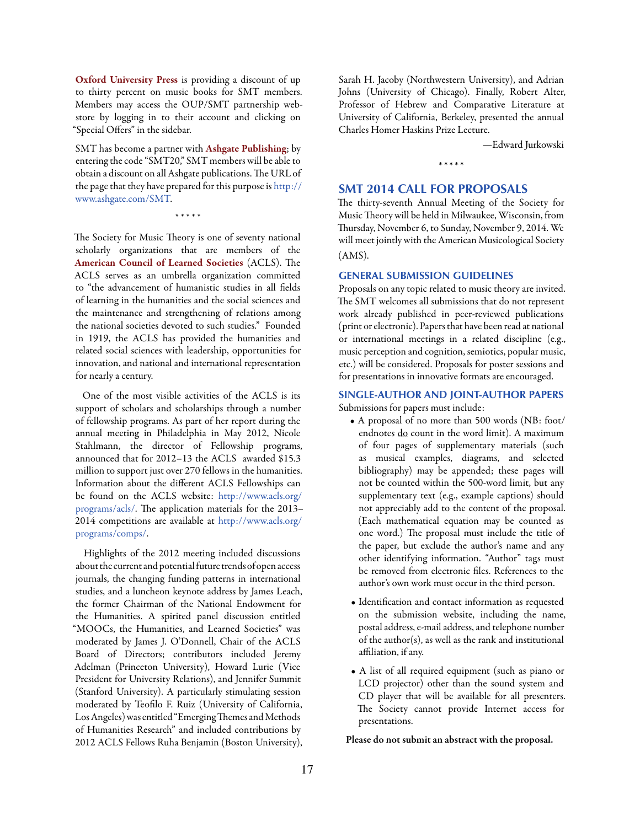<span id="page-16-0"></span>Oxford University Press is providing a discount of up to thirty percent on music books for SMT members. Members may access the OUP/SMT partnership webstore by logging in to their account and clicking on "Special Offers" in the sidebar.

SMT has become a partner with Ashgate Publishing; by entering the code "SMT20," SMT members will be able to obtain a discount on all Ashgate publications. The URL of the page that they have prepared for this purpose is [http://](http://www.ashgate.com/SMT) [www.ashgate.com/SMT.](http://www.ashgate.com/SMT)

\* \* \* \* \*

The Society for Music Theory is one of seventy national scholarly organizations that are members of the American Council of Learned Societies (ACLS). The ACLS serves as an umbrella organization committed to "the advancement of humanistic studies in all fields of learning in the humanities and the social sciences and the maintenance and strengthening of relations among the national societies devoted to such studies." Founded in 1919, the ACLS has provided the humanities and related social sciences with leadership, opportunities for innovation, and national and international representation for nearly a century.

One of the most visible activities of the ACLS is its support of scholars and scholarships through a number of fellowship programs. As part of her report during the annual meeting in Philadelphia in May 2012, Nicole Stahlmann, the director of Fellowship programs, announced that for 2012–13 the ACLS awarded \$15.3 million to support just over 270 fellows in the humanities. Information about the different ACLS Fellowships can be found on the ACLS website: [http://www.acls.org/](http://www.acls.org/programs/acls/) [programs/acls/](http://www.acls.org/programs/acls/). The application materials for the 2013– 2014 competitions are available at [http://www.acls.org/](http://www.acls.org/programs/comps/) [programs/comps/](http://www.acls.org/programs/comps/).

Highlights of the 2012 meeting included discussions about the current and potential future trends of open access journals, the changing funding patterns in international studies, and a luncheon keynote address by James Leach, the former Chairman of the National Endowment for the Humanities. A spirited panel discussion entitled "MOOCs, the Humanities, and Learned Societies" was moderated by James J. O'Donnell, Chair of the ACLS Board of Directors; contributors included Jeremy Adelman (Princeton University), Howard Lurie (Vice President for University Relations), and Jennifer Summit (Stanford University). A particularly stimulating session moderated by Teofilo F. Ruiz (University of California, Los Angeles) was entitled "Emerging Themes and Methods of Humanities Research" and included contributions by 2012 ACLS Fellows Ruha Benjamin (Boston University),

Sarah H. Jacoby (Northwestern University), and Adrian Johns (University of Chicago). Finally, Robert Alter, Professor of Hebrew and Comparative Literature at University of California, Berkeley, presented the annual Charles Homer Haskins Prize Lecture.

\* \* \* \* \*

—Edward Jurkowski

# **SMT 2014 CALL FOR PROPOSALS**

The thirty-seventh Annual Meeting of the Society for Music Theory will be held in Milwaukee, Wisconsin, from Thursday, November 6, to Sunday, November 9, 2014. We will meet jointly with the American Musicological Society (AMS).

#### **GENERAL SUBMISSION GUIDELINES**

Proposals on any topic related to music theory are invited. The SMT welcomes all submissions that do not represent work already published in peer-reviewed publications (print or electronic). Papers that have been read at national or international meetings in a related discipline (e.g., music perception and cognition, semiotics, popular music, etc.) will be considered. Proposals for poster sessions and for presentations in innovative formats are encouraged.

# **SINGLE-AUTHOR AND JOINT-AUTHOR PAPERS** Submissions for papers must include:

- A proposal of no more than 500 words (NB: foot/ endnotes do count in the word limit). A maximum of four pages of supplementary materials (such as musical examples, diagrams, and selected bibliography) may be appended; these pages will not be counted within the 500-word limit, but any supplementary text (e.g., example captions) should not appreciably add to the content of the proposal. (Each mathematical equation may be counted as one word.) The proposal must include the title of the paper, but exclude the author's name and any other identifying information. "Author" tags must be removed from electronic files. References to the author's own work must occur in the third person.
- Identification and contact information as requested on the submission website, including the name, postal address, e-mail address, and telephone number of the author(s), as well as the rank and institutional affiliation, if any.
- A list of all required equipment (such as piano or LCD projector) other than the sound system and CD player that will be available for all presenters. The Society cannot provide Internet access for presentations.

Please do not submit an abstract with the proposal.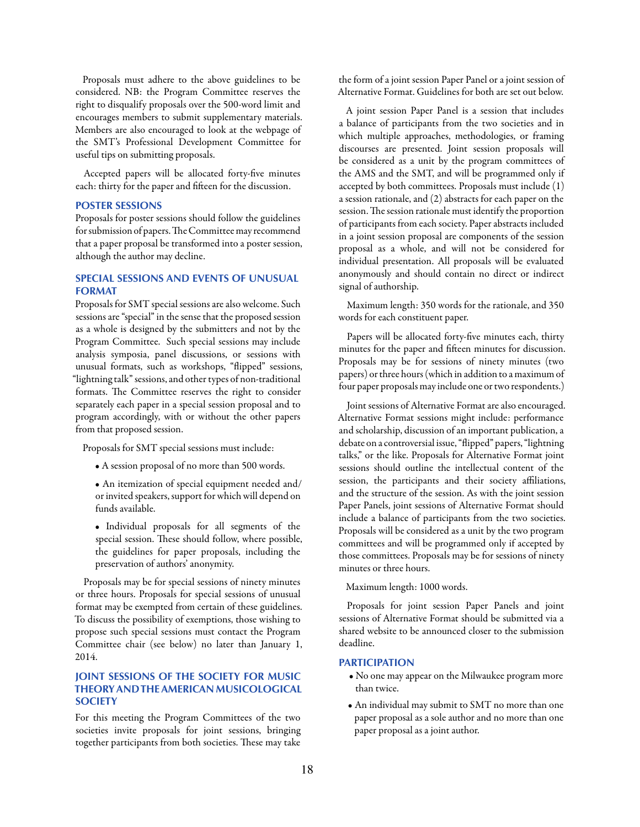Proposals must adhere to the above guidelines to be considered. NB: the Program Committee reserves the right to disqualify proposals over the 500-word limit and encourages members to submit supplementary materials. Members are also encouraged to look at the webpage of the SMT's Professional Development Committee for useful tips on submitting proposals.

Accepted papers will be allocated forty-five minutes each: thirty for the paper and fifteen for the discussion.

#### **POSTER SESSIONS**

Proposals for poster sessions should follow the guidelines for submission of papers. The Committee may recommend that a paper proposal be transformed into a poster session, although the author may decline.

# **SPECIAL SESSIONS AND EVENTS OF UNUSUAL FORMAT**

Proposals for SMT special sessions are also welcome. Such sessions are "special" in the sense that the proposed session as a whole is designed by the submitters and not by the Program Committee. Such special sessions may include analysis symposia, panel discussions, or sessions with unusual formats, such as workshops, "flipped" sessions, "lightning talk" sessions, and other types of non-traditional formats. The Committee reserves the right to consider separately each paper in a special session proposal and to program accordingly, with or without the other papers from that proposed session.

Proposals for SMT special sessions must include:

• A session proposal of no more than 500 words.

• An itemization of special equipment needed and/ or invited speakers, support for which will depend on funds available.

• Individual proposals for all segments of the special session. These should follow, where possible, the guidelines for paper proposals, including the preservation of authors' anonymity.

Proposals may be for special sessions of ninety minutes or three hours. Proposals for special sessions of unusual format may be exempted from certain of these guidelines. To discuss the possibility of exemptions, those wishing to propose such special sessions must contact the Program Committee chair (see below) no later than January 1, 2014.

# **JOINT SESSIONS OF THE SOCIETY FOR MUSIC THEORY AND THE AMERICAN MUSICOLOGICAL SOCIETY**

For this meeting the Program Committees of the two societies invite proposals for joint sessions, bringing together participants from both societies. These may take

the form of a joint session Paper Panel or a joint session of Alternative Format. Guidelines for both are set out below.

A joint session Paper Panel is a session that includes a balance of participants from the two societies and in which multiple approaches, methodologies, or framing discourses are presented. Joint session proposals will be considered as a unit by the program committees of the AMS and the SMT, and will be programmed only if accepted by both committees. Proposals must include (1) a session rationale, and (2) abstracts for each paper on the session. The session rationale must identify the proportion of participants from each society. Paper abstracts included in a joint session proposal are components of the session proposal as a whole, and will not be considered for individual presentation. All proposals will be evaluated anonymously and should contain no direct or indirect signal of authorship.

Maximum length: 350 words for the rationale, and 350 words for each constituent paper.

Papers will be allocated forty-five minutes each, thirty minutes for the paper and fifteen minutes for discussion. Proposals may be for sessions of ninety minutes (two papers) or three hours (which in addition to a maximum of four paper proposals may include one or two respondents.)

Joint sessions of Alternative Format are also encouraged. Alternative Format sessions might include: performance and scholarship, discussion of an important publication, a debate on a controversial issue, "flipped" papers, "lightning talks," or the like. Proposals for Alternative Format joint sessions should outline the intellectual content of the session, the participants and their society affiliations, and the structure of the session. As with the joint session Paper Panels, joint sessions of Alternative Format should include a balance of participants from the two societies. Proposals will be considered as a unit by the two program committees and will be programmed only if accepted by those committees. Proposals may be for sessions of ninety minutes or three hours.

Maximum length: 1000 words.

Proposals for joint session Paper Panels and joint sessions of Alternative Format should be submitted via a shared website to be announced closer to the submission deadline.

#### **PARTICIPATION**

- No one may appear on the Milwaukee program more than twice.
- An individual may submit to SMT no more than one paper proposal as a sole author and no more than one paper proposal as a joint author.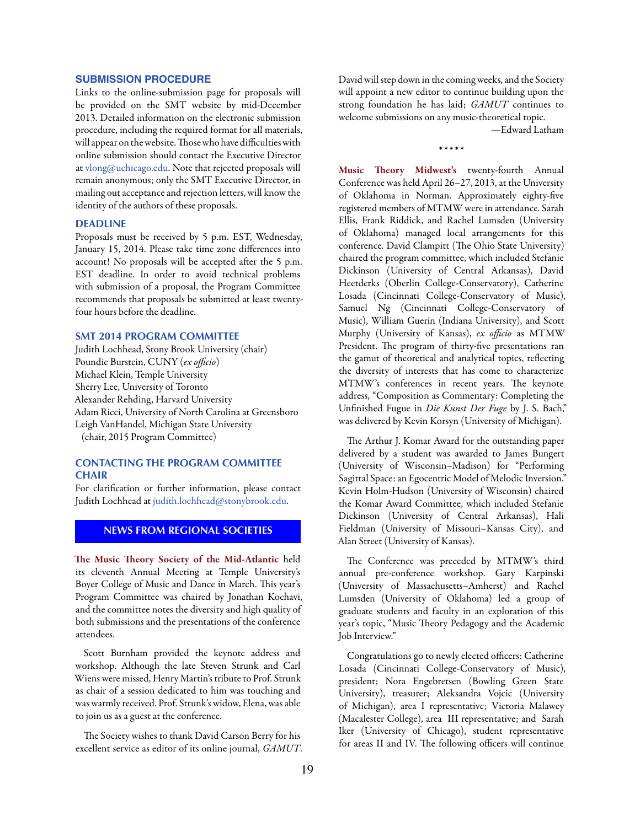#### <span id="page-18-0"></span>**SUBMISSION PROCEDURE**

Links to the online-submission page for proposals will be provided on the SMT website by mid-December 2013. Detailed information on the electronic submission procedure, including the required format for all materials, will appear on the website. Those who have difficulties with online submission should contact the Executive Director at [vlong@uchicago.edu.](mailto:vlong@uchicago.edu) Note that rejected proposals will remain anonymous; only the SMT Executive Director, in mailing out acceptance and rejection letters, will know the identity of the authors of these proposals.

# **DEADLINE**

Proposals must be received by 5 p.m. EST, Wednesday, January 15, 2014. Please take time zone differences into account! No proposals will be accepted after the 5 p.m. EST deadline. In order to avoid technical problems with submission of a proposal, the Program Committee recommends that proposals be submitted at least twentyfour hours before the deadline.

#### **SMT 2014 PROGRAM COMMITTEE**

Judith Lochhead, Stony Brook University (chair) Poundie Burstein, CUNY (*ex officio*) Michael Klein, Temple University Sherry Lee, University of Toronto Alexander Rehding, Harvard University Adam Ricci, University of North Carolina at Greensboro Leigh VanHandel, Michigan State University (chair, 2015 Program Committee)

# **CONTACTING THE PROGRAM COMMITTEE CHAIR**

For clarification or further information, please contact Judith Lochhead at [judith.lochhead@stonybrook.edu](mailto:judith.lochhead%40stonybrook.edu?subject=).

# **NEWS FROM REGIONAL SOCIETIES**

The Music Theory Society of the Mid-Atlantic held its eleventh Annual Meeting at Temple University's Boyer College of Music and Dance in March. This year's Program Committee was chaired by Jonathan Kochavi, and the committee notes the diversity and high quality of both submissions and the presentations of the conference attendees.

Scott Burnham provided the keynote address and workshop. Although the late Steven Strunk and Carl Wiens were missed, Henry Martin's tribute to Prof. Strunk as chair of a session dedicated to him was touching and was warmly received. Prof. Strunk's widow, Elena, was able to join us as a guest at the conference.

The Society wishes to thank David Carson Berry for his excellent service as editor of its online journal, *GAMUT*. David will step down in the coming weeks, and the Society will appoint a new editor to continue building upon the strong foundation he has laid; *GAMUT* continues to welcome submissions on any music-theoretical topic.

—Edward Latham

\* \* \* \* \*

Music Theory Midwest's twenty-fourth Annual Conference was held April 26–27, 2013, at the University of Oklahoma in Norman. Approximately eighty-five registered members of MTMW were in attendance. Sarah Ellis, Frank Riddick, and Rachel Lumsden (University of Oklahoma) managed local arrangements for this conference. David Clampitt (The Ohio State University) chaired the program committee, which included Stefanie Dickinson (University of Central Arkansas), David Heetderks (Oberlin College-Conservatory), Catherine Losada (Cincinnati College-Conservatory of Music), Samuel Ng (Cincinnati College-Conservatory of Music), William Guerin (Indiana University), and Scott Murphy (University of Kansas), *ex officio* as MTMW President. The program of thirty-five presentations ran the gamut of theoretical and analytical topics, reflecting the diversity of interests that has come to characterize MTMW's conferences in recent years. The keynote address, "Composition as Commentary: Completing the Unfinished Fugue in *Die Kunst Der Fuge* by J. S. Bach," was delivered by Kevin Korsyn (University of Michigan).

The Arthur J. Komar Award for the outstanding paper delivered by a student was awarded to James Bungert (University of Wisconsin–Madison) for "Performing Sagittal Space: an Egocentric Model of Melodic Inversion." Kevin Holm-Hudson (University of Wisconsin) chaired the Komar Award Committee, which included Stefanie Dickinson (University of Central Arkansas), Hali Fieldman (University of Missouri–Kansas City), and Alan Street (University of Kansas).

The Conference was preceded by MTMW's third annual pre-conference workshop. Gary Karpinski (University of Massachusetts–Amherst) and Rachel Lumsden (University of Oklahoma) led a group of graduate students and faculty in an exploration of this year's topic, "Music Theory Pedagogy and the Academic Job Interview."

Congratulations go to newly elected officers: Catherine Losada (Cincinnati College-Conservatory of Music), president; Nora Engebretsen (Bowling Green State University), treasurer; Aleksandra Vojcic (University of Michigan), area I representative; Victoria Malawey (Macalester College), area III representative; and Sarah Iker (University of Chicago), student representative for areas II and IV. The following officers will continue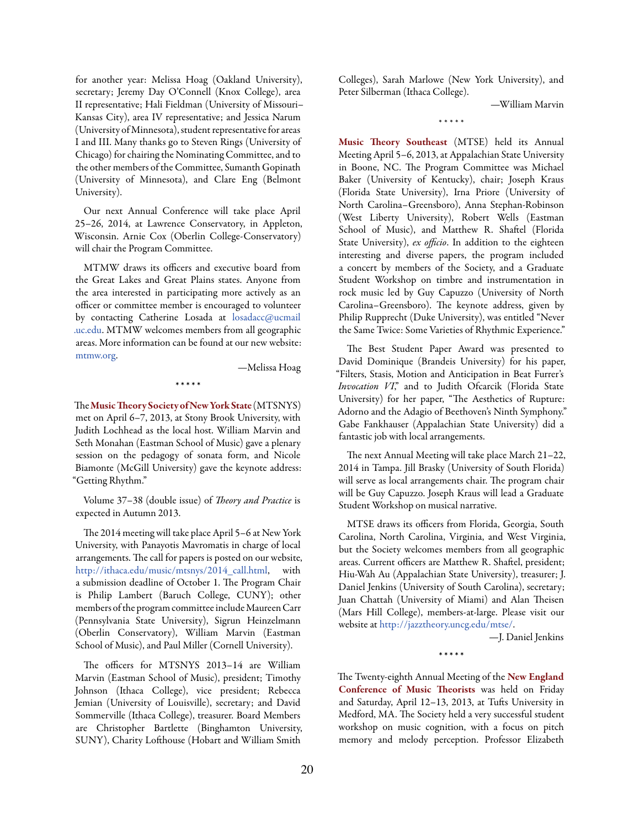for another year: Melissa Hoag (Oakland University), secretary; Jeremy Day O'Connell (Knox College), area II representative; Hali Fieldman (University of Missouri– Kansas City), area IV representative; and Jessica Narum (University of Minnesota), student representative for areas I and III. Many thanks go to Steven Rings (University of Chicago) for chairing the Nominating Committee, and to the other members of the Committee, Sumanth Gopinath (University of Minnesota), and Clare Eng (Belmont University).

Our next Annual Conference will take place April 25–26, 2014, at Lawrence Conservatory, in Appleton, Wisconsin. Arnie Cox (Oberlin College-Conservatory) will chair the Program Committee.

MTMW draws its officers and executive board from the Great Lakes and Great Plains states. Anyone from the area interested in participating more actively as an officer or committee member is encouraged to volunteer by contacting Catherine Losada at [losadacc@ucmail](mailto:losadacc%40ucmail.uc.edu?subject=)  [.uc.edu](mailto:losadacc%40ucmail.uc.edu?subject=). MTMW welcomes members from all geographic areas. More information can be found at our new website: [mtmw.org.](http://mtmw.org)

—Melissa Hoag

\* \* \* \* \*

The Music Theory Society of New York State (MTSNYS) met on April 6–7, 2013, at Stony Brook University, with Judith Lochhead as the local host. William Marvin and Seth Monahan (Eastman School of Music) gave a plenary session on the pedagogy of sonata form, and Nicole Biamonte (McGill University) gave the keynote address: "Getting Rhythm."

Volume 37–38 (double issue) of *Theory and Practice* is expected in Autumn 2013.

The 2014 meeting will take place April 5–6 at New York University, with Panayotis Mavromatis in charge of local arrangements. The call for papers is posted on our website, [http://ithaca.edu/music/mtsnys/2014\\_call.html](http://ithaca.edu/music/mtsnys/2014_call.html), with a submission deadline of October 1. The Program Chair is Philip Lambert (Baruch College, CUNY); other members of the program committee include Maureen Carr (Pennsylvania State University), Sigrun Heinzelmann (Oberlin Conservatory), William Marvin (Eastman School of Music), and Paul Miller (Cornell University).

The officers for MTSNYS 2013–14 are William Marvin (Eastman School of Music), president; Timothy Johnson (Ithaca College), vice president; Rebecca Jemian (University of Louisville), secretary; and David Sommerville (Ithaca College), treasurer. Board Members are Christopher Bartlette (Binghamton University, SUNY), Charity Lofthouse (Hobart and William Smith

Colleges), Sarah Marlowe (New York University), and Peter Silberman (Ithaca College).

—William Marvin

\* \* \* \* \*

Music Theory Southeast (MTSE) held its Annual Meeting April 5–6, 2013, at Appalachian State University in Boone, NC. The Program Committee was Michael Baker (University of Kentucky), chair; Joseph Kraus (Florida State University), Irna Priore (University of North Carolina–Greensboro), Anna Stephan-Robinson (West Liberty University), Robert Wells (Eastman School of Music), and Matthew R. Shaftel (Florida State University), *ex officio*. In addition to the eighteen interesting and diverse papers, the program included a concert by members of the Society, and a Graduate Student Workshop on timbre and instrumentation in rock music led by Guy Capuzzo (University of North Carolina–Greensboro). The keynote address, given by Philip Rupprecht (Duke University), was entitled "Never the Same Twice: Some Varieties of Rhythmic Experience."

The Best Student Paper Award was presented to David Dominique (Brandeis University) for his paper, "Filters, Stasis, Motion and Anticipation in Beat Furrer's *Invocation VI*," and to Judith Ofcarcik (Florida State University) for her paper, "The Aesthetics of Rupture: Adorno and the Adagio of Beethoven's Ninth Symphony." Gabe Fankhauser (Appalachian State University) did a fantastic job with local arrangements.

The next Annual Meeting will take place March 21–22, 2014 in Tampa. Jill Brasky (University of South Florida) will serve as local arrangements chair. The program chair will be Guy Capuzzo. Joseph Kraus will lead a Graduate Student Workshop on musical narrative.

MTSE draws its officers from Florida, Georgia, South Carolina, North Carolina, Virginia, and West Virginia, but the Society welcomes members from all geographic areas. Current officers are Matthew R. Shaftel, president; Hiu-Wah Au (Appalachian State University), treasurer; J. Daniel Jenkins (University of South Carolina), secretary; Juan Chattah (University of Miami) and Alan Theisen (Mars Hill College), members-at-large. Please visit our website at [http://jazztheory.uncg.edu/mtse/.](http://jazztheory.uncg.edu/mtse/)

—J. Daniel Jenkins

\* \* \* \* \*

The Twenty-eighth Annual Meeting of the New England Conference of Music Theorists was held on Friday and Saturday, April 12–13, 2013, at Tufts University in Medford, MA. The Society held a very successful student workshop on music cognition, with a focus on pitch memory and melody perception. Professor Elizabeth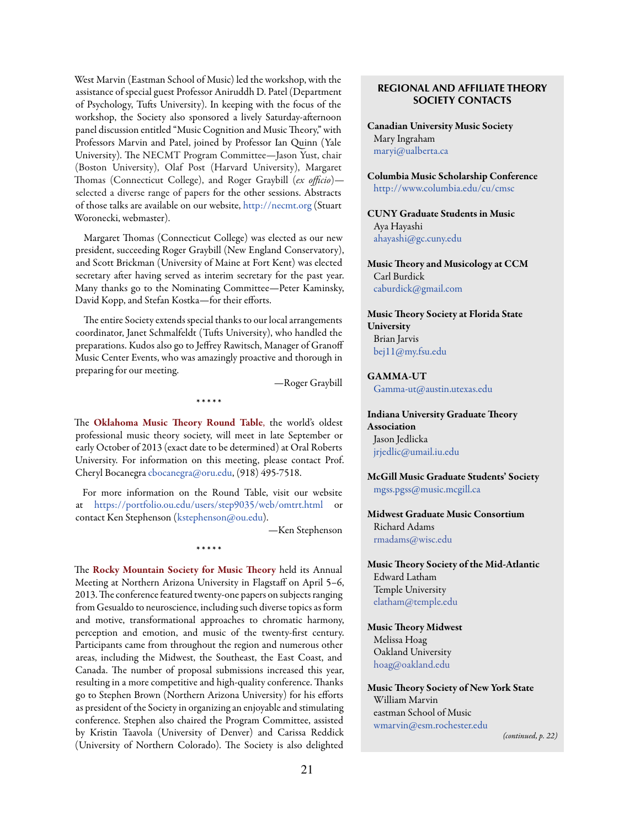West Marvin (Eastman School of Music) led the workshop, with the assistance of special guest Professor Aniruddh D. Patel (Department of Psychology, Tufts University). In keeping with the focus of the workshop, the Society also sponsored a lively Saturday-afternoon panel discussion entitled "Music Cognition and Music Theory," with Professors Marvin and Patel, joined by Professor Ian Quinn (Yale University). The NECMT Program Committee—Jason Yust, chair (Boston University), Olaf Post (Harvard University), Margaret Thomas (Connecticut College), and Roger Graybill (*ex officio*) selected a diverse range of papers for the other sessions. Abstracts of those talks are available on our website, <http://necmt.org> (Stuart Woronecki, webmaster).

Margaret Thomas (Connecticut College) was elected as our new president, succeeding Roger Graybill (New England Conservatory), and Scott Brickman (University of Maine at Fort Kent) was elected secretary after having served as interim secretary for the past year. Many thanks go to the Nominating Committee—Peter Kaminsky, David Kopp, and Stefan Kostka—for their efforts.

The entire Society extends special thanks to our local arrangements coordinator, Janet Schmalfeldt (Tufts University), who handled the preparations. Kudos also go to Jeffrey Rawitsch, Manager of Granoff Music Center Events, who was amazingly proactive and thorough in preparing for our meeting.

—Roger Graybill

The Oklahoma Music Theory Round Table, the world's oldest professional music theory society, will meet in late September or early October of 2013 (exact date to be determined) at Oral Roberts University. For information on this meeting, please contact Prof. Cheryl Bocanegra [cbocanegra@oru.edu](mailto:cbocanegra%40oru.edu?subject=), ([918\) 495-7518.](callto:918%29 495-7518)

\* \* \* \* \*

For more information on the Round Table, visit our website at <https://portfolio.ou.edu/users/step9035/web/omtrt.html> or contact Ken Stephenson ([kstephenson@ou.edu\)](mailto:kstephenson%40ou.edu?subject=).

\* \* \* \* \*

—Ken Stephenson

The Rocky Mountain Society for Music Theory held its Annual Meeting at Northern Arizona University in Flagstaff on April 5–6, 2013. The conference featured twenty-one papers on subjects ranging from Gesualdo to neuroscience, including such diverse topics as form and motive, transformational approaches to chromatic harmony, perception and emotion, and music of the twenty-first century. Participants came from throughout the region and numerous other areas, including the Midwest, the Southeast, the East Coast, and Canada. The number of proposal submissions increased this year, resulting in a more competitive and high-quality conference. Thanks go to Stephen Brown (Northern Arizona University) for his efforts as president of the Society in organizing an enjoyable and stimulating conference. Stephen also chaired the Program Committee, assisted by Kristin Taavola (University of Denver) and Carissa Reddick (University of Northern Colorado). The Society is also delighted

# **REGIONAL AND AFFILIATE THEORY SOCIETY CONTACTS**

Canadian University Music Society Mary Ingraham [maryi@ualberta.ca](mailto:maryi%40ualberta.ca?subject=)

Columbia Music Scholarship Conference [http://www.columbia.edu/cu/cmsc](mailto:http://www.columbia.edu/cu/cmsc?subject=)

CUNY Graduate Students in Music Aya Hayashi [ahayashi@gc.cuny.edu](mailto:ahayashi%40gc.cuny.edu?subject=)

Music Theory and Musicology at CCM Carl Burdick [caburdick@gmail.com](mailto:caburdick%40gmail.com?subject=)

Music Theory Society at Florida State **University** Brian Jarvis [bej11@my.fsu.edu](mailto:bej11%40my.fsu.edu?subject=)

GAMMA-UT [Gamma-ut@austin.utexas.edu](mailto:Gamma-ut%40austin.utexas.edu?subject=)

Indiana University Graduate Theory Association Jason Jedlicka [jrjedlic@umail.iu.edu](mailto:jrjedlic%40umail.iu.edu?subject=)

McGill Music Graduate Students' Society [mgss.pgss@music.mcgill.ca](mailto:mgss.pgss%40music.mcgill.ca?subject=)

Midwest Graduate Music Consortium Richard Adams [rmadams@wisc.edu](mailto:rmadams%40wisc.edu?subject=)

Music Theory Society of the Mid-Atlantic Edward Latham Temple University [elatham@temple.edu](mailto:elatham%40temple.edu?subject=)

Music Theory Midwest Melissa Hoag Oakland University [hoag@oakland.edu](mailto:hoag%40oakland.edu?subject=)

Music Theory Society of New York State William Marvin eastman School of Music [wmarvin@esm.rochester.edu](mailto:wmarvin%40esm.rochester.edu?subject=)

*(continued, p. 22)*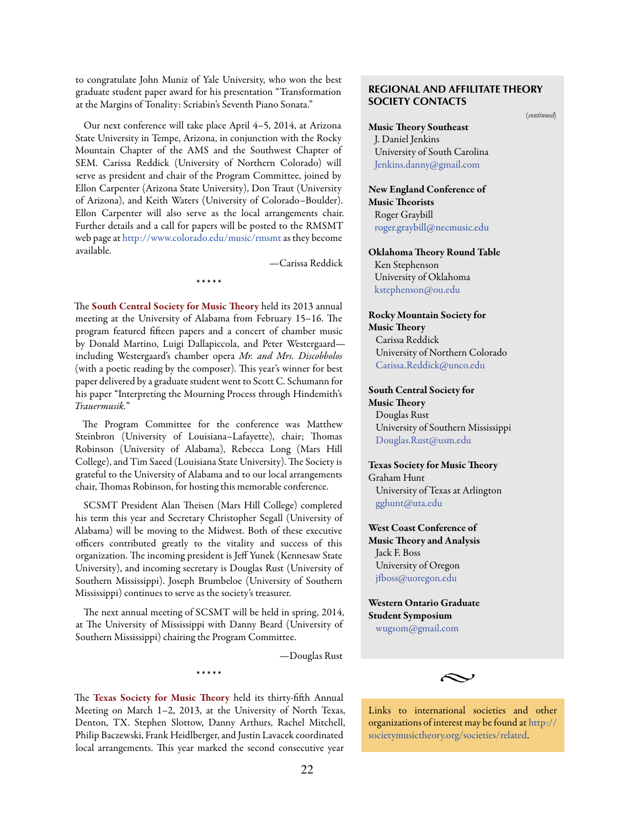to congratulate John Muniz of Yale University, who won the best graduate student paper award for his presentation "Transformation at the Margins of Tonality: Scriabin's Seventh Piano Sonata."

Our next conference will take place April 4–5, 2014, at Arizona State University in Tempe, Arizona, in conjunction with the Rocky Mountain Chapter of the AMS and the Southwest Chapter of SEM. Carissa Reddick (University of Northern Colorado) will serve as president and chair of the Program Committee, joined by Ellon Carpenter (Arizona State University), Don Traut (University of Arizona), and Keith Waters (University of Colorado–Boulder). Ellon Carpenter will also serve as the local arrangements chair. Further details and a call for papers will be posted to the RMSMT web page at [http://www.colorado.edu/music/rmsmt](http://www.colorado.edu/music/rmsmt/) as they become available.

—Carissa Reddick

The South Central Society for Music Theory held its 2013 annual meeting at the University of Alabama from February 15–16. The program featured fifteen papers and a concert of chamber music by Donald Martino, Luigi Dallapiccola, and Peter Westergaard including Westergaard's chamber opera *Mr. and Mrs. Discobbolos*  (with a poetic reading by the composer). This year's winner for best paper delivered by a graduate student went to Scott C. Schumann for his paper "Interpreting the Mourning Process through Hindemith's *Trauermusik.*"

\* \* \* \* \*

The Program Committee for the conference was Matthew Steinbron (University of Louisiana–Lafayette), chair; Thomas Robinson (University of Alabama), Rebecca Long (Mars Hill College), and Tim Saeed (Louisiana State University). The Society is grateful to the University of Alabama and to our local arrangements chair, Thomas Robinson, for hosting this memorable conference.

SCSMT President Alan Theisen (Mars Hill College) completed his term this year and Secretary Christopher Segall (University of Alabama) will be moving to the Midwest. Both of these executive officers contributed greatly to the vitality and success of this organization. The incoming president is Jeff Yunek (Kennesaw State University), and incoming secretary is Douglas Rust (University of Southern Mississippi). Joseph Brumbeloe (University of Southern Mississippi) continues to serve as the society's treasurer.

The next annual meeting of SCSMT will be held in spring, 2014, at The University of Mississippi with Danny Beard (University of Southern Mississippi) chairing the Program Committee.

\* \* \* \* \*

—Douglas Rust

The Texas Society for Music Theory held its thirty-fifth Annual Meeting on March 1–2, 2013, at the University of North Texas, Denton, TX. Stephen Slottow, Danny Arthurs, Rachel Mitchell, Philip Baczewski, Frank Heidlberger, and Justin Lavacek coordinated local arrangements. This year marked the second consecutive year

# **REGIONAL AND AFFILITATE THEORY SOCIETY CONTACTS**

(*continued*)

Music Theory Southeast J. Daniel Jenkins University of South Carolina [Jenkins.danny@gmail.com](mailto:Jenkins.danny%40gmail.com?subject=)

New England Conference of Music Theorists Roger Graybill [roger.graybill@necmusic.edu](mailto:roger.graybill%40necmusic.edu?subject=)

Oklahoma Theory Round Table Ken Stephenson University of Oklahoma [kstephenson@ou.edu](mailto:kstephenson%40ou.edu?subject=)

Rocky Mountain Society for Music Theory Carissa Reddick University of Northern Colorado [Carissa.Reddick@unco.edu](mailto:Carissa.Reddick%40unco.edu?subject=)

South Central Society for Music Theory Douglas Rust University of Southern Mississippi [Douglas.Rust@usm.edu](mailto:Douglas.Rust%40usm.edu?subject=)

Texas Society for Music Theory Graham Hunt University of Texas at Arlington [gghunt@uta.edu](mailto:gghunt%40uta.edu?subject=)

West Coast Conference of Music Theory and Analysis Jack F. Boss University of Oregon [jfboss@uoregon.edu](mailto:jfboss%40uoregon.edu?subject=)

Western Ontario Graduate Student Symposium [wugsom@gmail.com](mailto:wugsom%40gmail.com?subject=)



Links to international societies and other organizations of interest may be found at [http://](http://societymusictheory.org/societies/related) [societymusictheory.org/societies/related](http://societymusictheory.org/societies/related).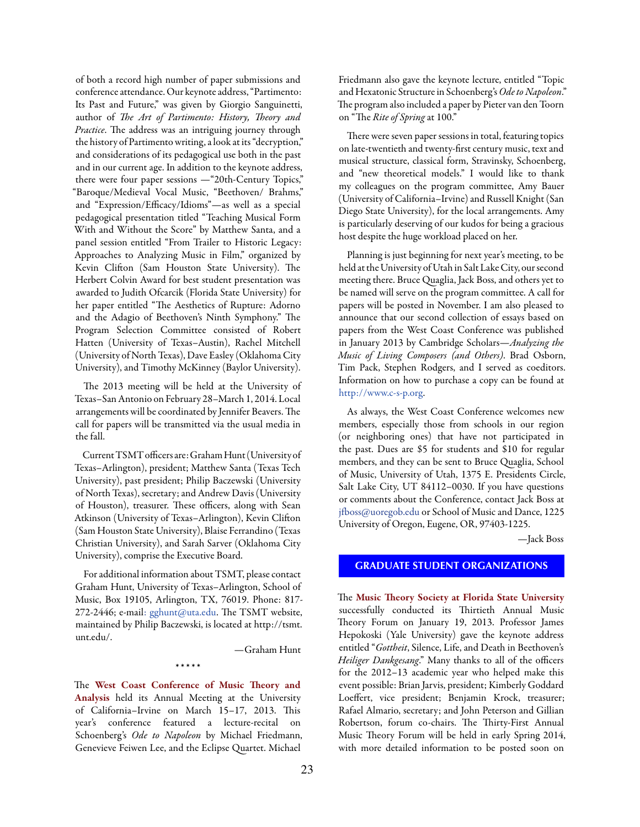<span id="page-22-0"></span>of both a record high number of paper submissions and conference attendance. Our keynote address, "Partimento: Its Past and Future," was given by Giorgio Sanguinetti, author of *The Art of Partimento: History, Theory and Practice*. The address was an intriguing journey through the history of Partimento writing, a look at its "decryption," and considerations of its pedagogical use both in the past and in our current age. In addition to the keynote address, there were four paper sessions —"20th-Century Topics," "Baroque/Medieval Vocal Music, "Beethoven/ Brahms," and "Expression/Efficacy/Idioms"—as well as a special pedagogical presentation titled "Teaching Musical Form With and Without the Score" by Matthew Santa, and a panel session entitled "From Trailer to Historic Legacy: Approaches to Analyzing Music in Film," organized by Kevin Clifton (Sam Houston State University). The Herbert Colvin Award for best student presentation was awarded to Judith Ofcarcik (Florida State University) for her paper entitled "The Aesthetics of Rupture: Adorno and the Adagio of Beethoven's Ninth Symphony." The Program Selection Committee consisted of Robert Hatten (University of Texas–Austin), Rachel Mitchell (University of North Texas), Dave Easley (Oklahoma City University), and Timothy McKinney (Baylor University).

The 2013 meeting will be held at the University of Texas–San Antonio on February 28–March 1, 2014. Local arrangements will be coordinated by Jennifer Beavers. The call for papers will be transmitted via the usual media in the fall.

Current TSMT officers are: Graham Hunt (University of Texas–Arlington), president; Matthew Santa (Texas Tech University), past president; Philip Baczewski (University of North Texas), secretary; and Andrew Davis (University of Houston), treasurer. These officers, along with Sean Atkinson (University of Texas–Arlington), Kevin Clifton (Sam Houston State University), Blaise Ferrandino (Texas Christian University), and Sarah Sarver (Oklahoma City University), comprise the Executive Board.

For additional information about TSMT, please contact Graham Hunt, University of Texas–Arlington, School of Music, Box 19105, Arlington, TX, 76019. Phone: 817- 272-2446; e-mail[:](mailto:: gghunt@uta.edu) [gghunt@uta.edu](mailto:gghunt%40uta.edu?subject=). The TSMT website, maintained by Philip Baczewski, is located at [http://tsmt.](http://tsmt.unt.edu/) [unt.edu/](http://tsmt.unt.edu/).

—Graham Hunt

#### \* \* \* \* \*

The West Coast Conference of Music Theory and Analysis held its Annual Meeting at the University of California–Irvine on March 15–17, 2013. This year's conference featured a lecture-recital on Schoenberg's *Ode to Napoleon* by Michael Friedmann, Genevieve Feiwen Lee, and the Eclipse Quartet. Michael

Friedmann also gave the keynote lecture, entitled "Topic and Hexatonic Structure in Schoenberg's *Ode to Napoleon*." The program also included a paper by Pieter van den Toorn on "The *Rite of Spring* at 100."

There were seven paper sessions in total, featuring topics on late-twentieth and twenty-first century music, text and musical structure, classical form, Stravinsky, Schoenberg, and "new theoretical models." I would like to thank my colleagues on the program committee, Amy Bauer (University of California–Irvine) and Russell Knight (San Diego State University), for the local arrangements. Amy is particularly deserving of our kudos for being a gracious host despite the huge workload placed on her.

Planning is just beginning for next year's meeting, to be held at the University of Utah in Salt Lake City, our second meeting there. Bruce Quaglia, Jack Boss, and others yet to be named will serve on the program committee. A call for papers will be posted in November. I am also pleased to announce that our second collection of essays based on papers from the West Coast Conference was published in January 2013 by Cambridge Scholars—*Analyzing the Music of Living Composers (and Others)*. Brad Osborn, Tim Pack, Stephen Rodgers, and I served as coeditors. Information on how to purchase a copy can be found at [http://www.c-s-p.org.](http://www.c-s-p.org)

As always, the West Coast Conference welcomes new members, especially those from schools in our region (or neighboring ones) that have not participated in the past. Dues are \$5 for students and \$10 for regular members, and they can be sent to Bruce Quaglia, School of Music, University of Utah, 1375 E. Presidents Circle, Salt Lake City, UT 84112–0030. If you have questions or comments about the Conference, contact Jack Boss at [jfboss@uoregob.edu](mailto:jfboss%40uoregob.edu?subject=) or School of Music and Dance, 1225 University of Oregon, Eugene, OR, 97403-1225.

—Jack Boss

# **GRADUATE STUDENT ORGANIZATIONS**

The Music Theory Society at Florida State University successfully conducted its Thirtieth Annual Music Theory Forum on January 19, 2013. Professor James Hepokoski (Yale University) gave the keynote address entitled "*Gottheit*, Silence, Life, and Death in Beethoven's *Heiliger Dankgesang*." Many thanks to all of the officers for the 2012–13 academic year who helped make this event possible: Brian Jarvis, president; Kimberly Goddard Loeffert, vice president; Benjamin Krock, treasurer; Rafael Almario, secretary; and John Peterson and Gillian Robertson, forum co-chairs. The Thirty-First Annual Music Theory Forum will be held in early Spring 2014, with more detailed information to be posted soon on